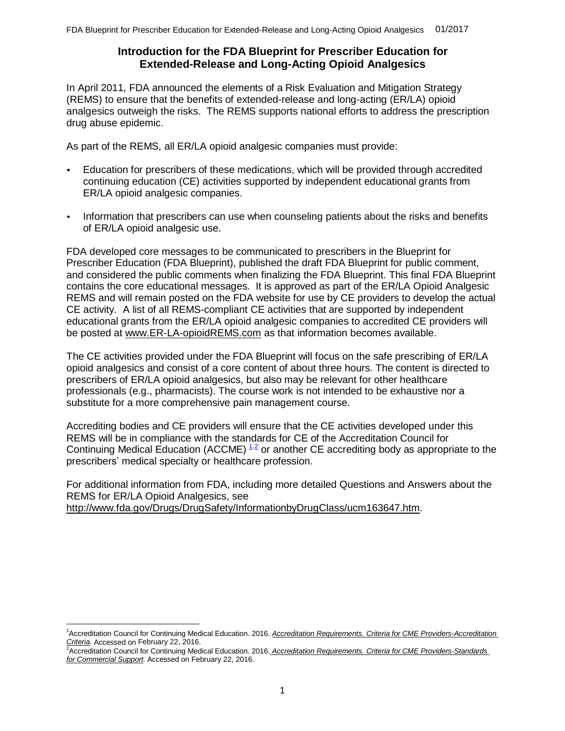### **Introduction for the FDA Blueprint for Prescriber Education for Extended-Release and Long-Acting Opioid Analgesics**

<span id="page-0-2"></span>In April 2011, FDA announced the elements of a Risk Evaluation and Mitigation Strategy (REMS) to ensure that the benefits of extended-release and long-acting (ER/LA) opioid analgesics outweigh the risks. The REMS supports national efforts to address the prescription drug abuse epidemic.

As part of the REMS, all ER/LA opioid analgesic companies must provide:

- Education for prescribers of these medications, which will be provided through accredited continuing education (CE) activities supported by independent educational grants from ER/LA opioid analgesic companies.
- Information that prescribers can use when counseling patients about the risks and benefits of ER/LA opioid analgesic use.

FDA developed core messages to be communicated to prescribers in the Blueprint for Prescriber Education (FDA Blueprint), published the draft FDA Blueprint for public comment, and considered the public comments when finalizing the FDA Blueprint. This final FDA Blueprint contains the core educational messages. It is approved as part of the ER/LA Opioid Analgesic REMS and will remain posted on the FDA website for use by CE providers to develop the actual CE activity. A list of all REMS-compliant CE activities that are supported by independent educational grants from the ER/LA opioid analgesic companies to accredited CE providers will be posted at www.ER-LA-opioidREMS.com as that information becomes available.

The CE activities provided under the FDA Blueprint will focus on the safe prescribing of ER/LA opioid analgesics and consist of a core content of about three hours. The content is directed to prescribers of ER/LA opioid analgesics, but also may be relevant for other healthcare professionals (e.g., pharmacists). The course work is not intended to be exhaustive nor a substitute for a more comprehensive pain management course.

Accrediting bodies and CE providers will ensure that the CE activities developed under this REMS will be in compliance with the standards for CE of the Accreditation Council for Continuing Medical Education (ACCME)  $1.2$  $1.2$  or another CE accrediting body as appropriate to the prescribers' medical specialty or healthcare profession.

For additional information from FDA, including more detailed Questions and Answers about the REMS for ER/LA Opioid Analgesics, see http://www.fda.gov/Drugs/DrugSafety/InformationbyDrugClass/ucm163647.htm.

<span id="page-0-0"></span><sup>1</sup>Accreditation Council for Continuing Medical Education. 2016. *Accreditation Requirements. Criteria for CME Providers-Accreditation Criteria.* Accessed on February 22, 2016.

<span id="page-0-1"></span><sup>2</sup>Accreditation Council for Continuing Medical Education. 2016. *Accreditation Requirements. Criteria for CME Providers-Standards for Commercial Support.* Accessed on February 22, 2016.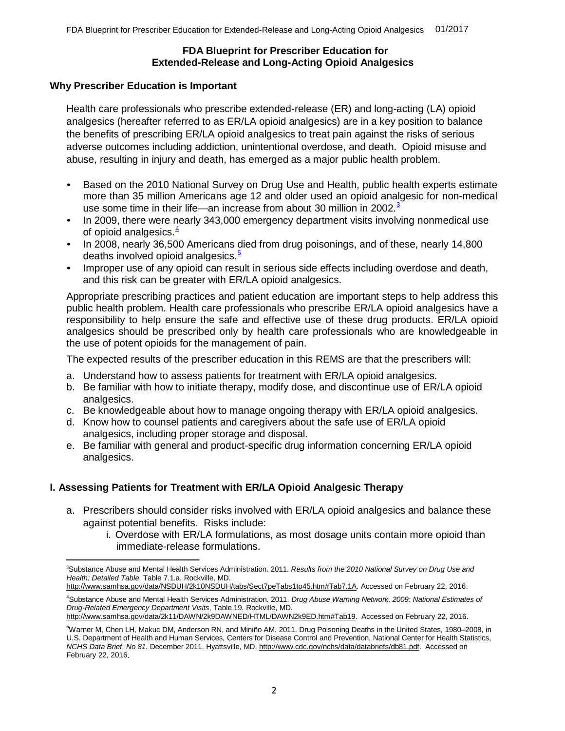#### **FDA Blueprint for Prescriber Education for Extended-Release and Long-Acting Opioid Analgesics**

#### **Why Prescriber Education is Important**

Health care professionals who prescribe extended-release (ER) and long-acting (LA) opioid analgesics (hereafter referred to as ER/LA opioid analgesics) are in a key position to balance the benefits of prescribing ER/LA opioid analgesics to treat pain against the risks of serious adverse outcomes including addiction, unintentional overdose, and death. Opioid misuse and abuse, resulting in injury and death, has emerged as a major public health problem.

- Based on the 2010 National Survey on Drug Use and Health, public health experts estimate more than 35 million Americans age 12 and older used an opioid analgesic for non-medical use some time in their life—an increase from about [3](#page-1-0)0 million in 2002.<sup>3</sup>
- In 2009, there were nearly 343,000 emergency department visits involving nonmedical use of opioid analgesics.<sup>[4](#page-1-1)</sup>
- In 2008, nearly 36,500 Americans died from drug poisonings, and of these, nearly 14,800 deaths involved opioid analgesics. $\frac{5}{5}$  $\frac{5}{5}$  $\frac{5}{5}$
- Improper use of any opioid can result in serious side effects including overdose and death, and this risk can be greater with ER/LA opioid analgesics.

Appropriate prescribing practices and patient education are important steps to help address this public health problem. Health care professionals who prescribe ER/LA opioid analgesics have a responsibility to help ensure the safe and effective use of these drug products. ER/LA opioid analgesics should be prescribed only by health care professionals who are knowledgeable in the use of potent opioids for the management of pain.

The expected results of the prescriber education in this REMS are that the prescribers will:

- a. Understand how to assess patients for treatment with ER/LA opioid analgesics.
- b. Be familiar with how to initiate therapy, modify dose, and discontinue use of ER/LA opioid analgesics.
- c. Be knowledgeable about how to manage ongoing therapy with ER/LA opioid analgesics.
- d. Know how to counsel patients and caregivers about the safe use of ER/LA opioid analgesics, including proper storage and disposal.
- e. Be familiar with general and product-specific drug information concerning ER/LA opioid analgesics.

## **I. Assessing Patients for Treatment with ER/LA Opioid Analgesic Therapy**

- a. Prescribers should consider risks involved with ER/LA opioid analgesics and balance these against potential benefits. Risks include:
	- i. Overdose with ER/LA formulations, as most dosage units contain more opioid than immediate-release formulations.

<span id="page-1-0"></span><sup>3</sup>Substance Abuse and Mental Health Services Administration. 2011. *Results from the 2010 National Survey on Drug Use and Health: Detailed Table*, Table 7.1.a. Rockville, MD.

http://www.samhsa.gov/data/NSDUH/2k10NSDUH/tabs/Sect7peTabs1to45.htm#Tab7.1A. Accessed on February 22, 2016.

<span id="page-1-1"></span><sup>4</sup>Substance Abuse and Mental Health Services Administration*.* 2011. *Drug Abuse Warning Network, 2009: National Estimates of Drug-Related Emergency Department Visits*, Table 19. Rockville, MD.

http://www.samhsa.gov/data/2k11/DAWN/2k9DAWNED/HTML/DAWN2k9ED.htm#Tab19. Accessed on February 22, 2016.

<span id="page-1-2"></span><sup>5</sup>Warner M, Chen LH, Makuc DM, Anderson RN, and Miniño AM. 2011. Drug Poisoning Deaths in the United States*,* 1980–2008, in U.S. Department of Health and Human Services, Centers for Disease Control and Prevention, National Center for Health Statistics, *NCHS Data Brief*, *No 81*. December 2011. Hyattsville, MD. http://www.cdc.gov/nchs/data/databriefs/db81.pdf. Accessed on February 22, 2016.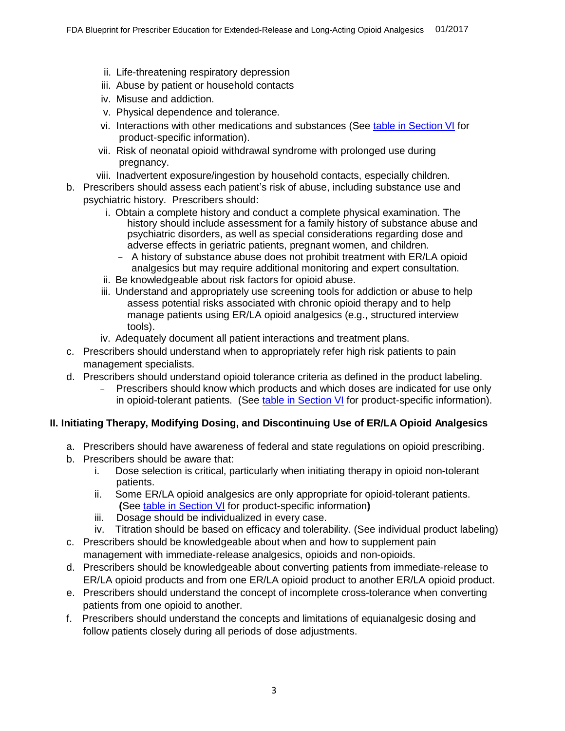- ii. Life-threatening respiratory depression
- iii. Abuse by patient or household contacts
- iv. Misuse and addiction.
- v. Physical dependence and tolerance.
- vi. Interactions with other medications and substances (See [table in Section VI](#page-0-2) for product-specific information).
- vii. Risk of neonatal opioid withdrawal syndrome with prolonged use during pregnancy.
- viii. Inadvertent exposure/ingestion by household contacts, especially children.
- b. Prescribers should assess each patient's risk of abuse, including substance use and psychiatric history. Prescribers should:
	- i. Obtain a complete history and conduct a complete physical examination. The history should include assessment for a family history of substance abuse and psychiatric disorders, as well as special considerations regarding dose and adverse effects in geriatric patients, pregnant women, and children.
		- A history of substance abuse does not prohibit treatment with ER/LA opioid analgesics but may require additional monitoring and expert consultation.
	- ii. Be knowledgeable about risk factors for opioid abuse.
	- iii. Understand and appropriately use screening tools for addiction or abuse to help assess potential risks associated with chronic opioid therapy and to help manage patients using ER/LA opioid analgesics (e.g., structured interview tools).
	- iv. Adequately document all patient interactions and treatment plans.
- c. Prescribers should understand when to appropriately refer high risk patients to pain management specialists.
- d. Prescribers should understand opioid tolerance criteria as defined in the product labeling.
	- Prescribers should know which products and which doses are indicated for use only in opioid-tolerant patients. (See [table in Section VI](#page-0-2) for product-specific information).

# **II. Initiating Therapy, Modifying Dosing, and Discontinuing Use of ER/LA Opioid Analgesics**

- a. Prescribers should have awareness of federal and state regulations on opioid prescribing.
- b. Prescribers should be aware that:
	- i. Dose selection is critical, particularly when initiating therapy in opioid non-tolerant patients.
	- ii. Some ER/LA opioid analgesics are only appropriate for opioid-tolerant patients. **(**See [table in Section VI](#page-0-2) for product-specific information**)**
	- iii. Dosage should be individualized in every case.
	- iv. Titration should be based on efficacy and tolerability. (See individual product labeling)
- c. Prescribers should be knowledgeable about when and how to supplement pain management with immediate-release analgesics, opioids and non-opioids.
- d. Prescribers should be knowledgeable about converting patients from immediate-release to ER/LA opioid products and from one ER/LA opioid product to another ER/LA opioid product.
- e. Prescribers should understand the concept of incomplete cross-tolerance when converting patients from one opioid to another.
- f. Prescribers should understand the concepts and limitations of equianalgesic dosing and follow patients closely during all periods of dose adjustments.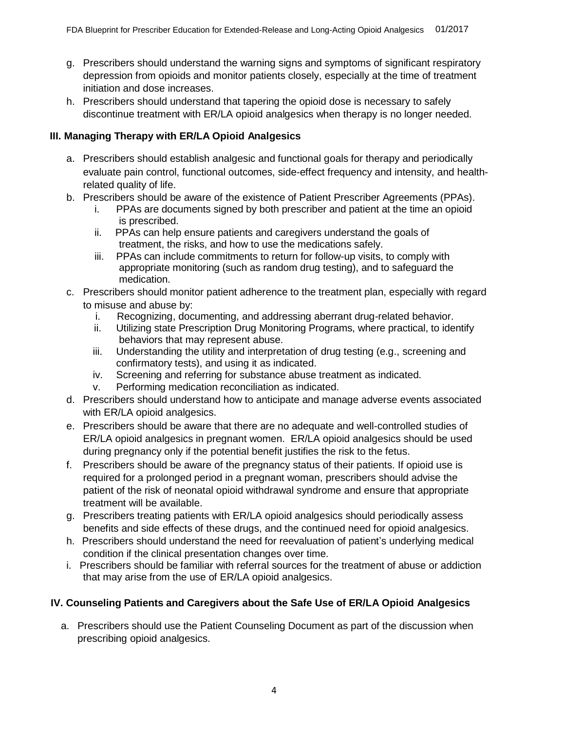- g. Prescribers should understand the warning signs and symptoms of significant respiratory depression from opioids and monitor patients closely, especially at the time of treatment initiation and dose increases.
- h. Prescribers should understand that tapering the opioid dose is necessary to safely discontinue treatment with ER/LA opioid analgesics when therapy is no longer needed.

## **III. Managing Therapy with ER/LA Opioid Analgesics**

- a. Prescribers should establish analgesic and functional goals for therapy and periodically evaluate pain control, functional outcomes, side-effect frequency and intensity, and healthrelated quality of life.
- b. Prescribers should be aware of the existence of Patient Prescriber Agreements (PPAs).
	- i. PPAs are documents signed by both prescriber and patient at the time an opioid is prescribed.
	- ii. PPAs can help ensure patients and caregivers understand the goals of treatment, the risks, and how to use the medications safely.
	- iii. PPAs can include commitments to return for follow-up visits, to comply with appropriate monitoring (such as random drug testing), and to safeguard the medication.
- c. Prescribers should monitor patient adherence to the treatment plan, especially with regard to misuse and abuse by:
	- i. Recognizing, documenting, and addressing aberrant drug-related behavior.
	- ii. Utilizing state Prescription Drug Monitoring Programs, where practical, to identify behaviors that may represent abuse.
	- iii. Understanding the utility and interpretation of drug testing (e.g., screening and confirmatory tests), and using it as indicated.
	- iv. Screening and referring for substance abuse treatment as indicated.
	- v. Performing medication reconciliation as indicated.
- d. Prescribers should understand how to anticipate and manage adverse events associated with ER/LA opioid analgesics.
- e. Prescribers should be aware that there are no adequate and well-controlled studies of ER/LA opioid analgesics in pregnant women. ER/LA opioid analgesics should be used during pregnancy only if the potential benefit justifies the risk to the fetus.
- f. Prescribers should be aware of the pregnancy status of their patients. If opioid use is required for a prolonged period in a pregnant woman, prescribers should advise the patient of the risk of neonatal opioid withdrawal syndrome and ensure that appropriate treatment will be available.
- g. Prescribers treating patients with ER/LA opioid analgesics should periodically assess benefits and side effects of these drugs, and the continued need for opioid analgesics.
- h. Prescribers should understand the need for reevaluation of patient's underlying medical condition if the clinical presentation changes over time.
- i. Prescribers should be familiar with referral sources for the treatment of abuse or addiction that may arise from the use of ER/LA opioid analgesics.

## **IV. Counseling Patients and Caregivers about the Safe Use of ER/LA Opioid Analgesics**

a. Prescribers should use the Patient Counseling Document as part of the discussion when prescribing opioid analgesics.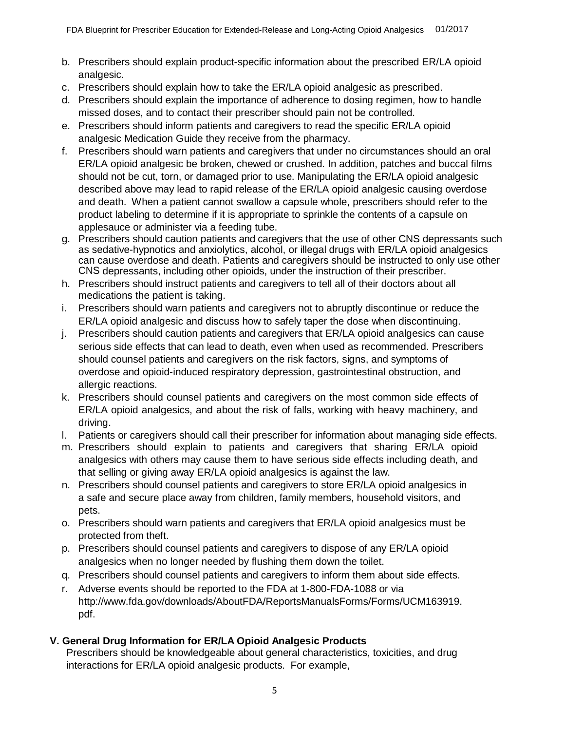- b. Prescribers should explain product-specific information about the prescribed ER/LA opioid analgesic.
- c. Prescribers should explain how to take the ER/LA opioid analgesic as prescribed.
- d. Prescribers should explain the importance of adherence to dosing regimen, how to handle missed doses, and to contact their prescriber should pain not be controlled.
- e. Prescribers should inform patients and caregivers to read the specific ER/LA opioid analgesic Medication Guide they receive from the pharmacy.
- f. Prescribers should warn patients and caregivers that under no circumstances should an oral ER/LA opioid analgesic be broken, chewed or crushed. In addition, patches and buccal films should not be cut, torn, or damaged prior to use. Manipulating the ER/LA opioid analgesic described above may lead to rapid release of the ER/LA opioid analgesic causing overdose and death. When a patient cannot swallow a capsule whole, prescribers should refer to the product labeling to determine if it is appropriate to sprinkle the contents of a capsule on applesauce or administer via a feeding tube.
- g. Prescribers should caution patients and caregivers that the use of other CNS depressants such as sedative-hypnotics and anxiolytics, alcohol, or illegal drugs with ER/LA opioid analgesics can cause overdose and death. Patients and caregivers should be instructed to only use other CNS depressants, including other opioids, under the instruction of their prescriber.
- h. Prescribers should instruct patients and caregivers to tell all of their doctors about all medications the patient is taking.
- i. Prescribers should warn patients and caregivers not to abruptly discontinue or reduce the ER/LA opioid analgesic and discuss how to safely taper the dose when discontinuing.
- j. Prescribers should caution patients and caregivers that ER/LA opioid analgesics can cause serious side effects that can lead to death, even when used as recommended. Prescribers should counsel patients and caregivers on the risk factors, signs, and symptoms of overdose and opioid-induced respiratory depression, gastrointestinal obstruction, and allergic reactions.
- k. Prescribers should counsel patients and caregivers on the most common side effects of ER/LA opioid analgesics, and about the risk of falls, working with heavy machinery, and driving.
- l. Patients or caregivers should call their prescriber for information about managing side effects.
- m. Prescribers should explain to patients and caregivers that sharing ER/LA opioid analgesics with others may cause them to have serious side effects including death, and that selling or giving away ER/LA opioid analgesics is against the law.
- n. Prescribers should counsel patients and caregivers to store ER/LA opioid analgesics in a safe and secure place away from children, family members, household visitors, and pets.
- o. Prescribers should warn patients and caregivers that ER/LA opioid analgesics must be protected from theft.
- p. Prescribers should counsel patients and caregivers to dispose of any ER/LA opioid analgesics when no longer needed by flushing them down the toilet.
- q. Prescribers should counsel patients and caregivers to inform them about side effects.
- r. Adverse events should be reported to the FDA at 1-800-FDA-1088 or via http://www.fda.gov/downloads/AboutFDA/ReportsManualsForms/Forms/UCM163919. pdf.

# **V. General Drug Information for ER/LA Opioid Analgesic Products**

Prescribers should be knowledgeable about general characteristics, toxicities, and drug interactions for ER/LA opioid analgesic products. For example,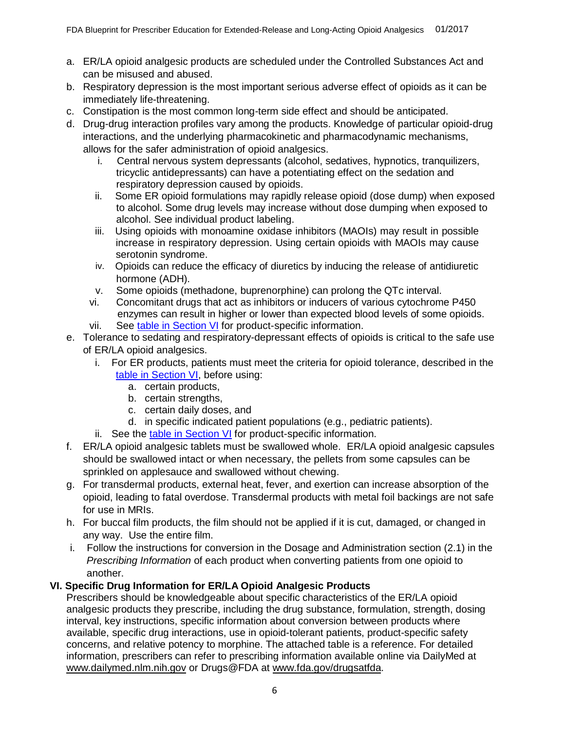- a. ER/LA opioid analgesic products are scheduled under the Controlled Substances Act and can be misused and abused.
- b. Respiratory depression is the most important serious adverse effect of opioids as it can be immediately life-threatening.
- c. Constipation is the most common long-term side effect and should be anticipated.
- d. Drug-drug interaction profiles vary among the products. Knowledge of particular opioid-drug interactions, and the underlying pharmacokinetic and pharmacodynamic mechanisms, allows for the safer administration of opioid analgesics.
	- i. Central nervous system depressants (alcohol, sedatives, hypnotics, tranquilizers, tricyclic antidepressants) can have a potentiating effect on the sedation and respiratory depression caused by opioids.
	- ii. Some ER opioid formulations may rapidly release opioid (dose dump) when exposed to alcohol. Some drug levels may increase without dose dumping when exposed to alcohol. See individual product labeling.
	- iii. Using opioids with monoamine oxidase inhibitors (MAOIs) may result in possible increase in respiratory depression. Using certain opioids with MAOIs may cause serotonin syndrome.
	- iv. Opioids can reduce the efficacy of diuretics by inducing the release of antidiuretic hormone (ADH).
	- v. Some opioids (methadone, buprenorphine) can prolong the QTc interval.
	- vi. Concomitant drugs that act as inhibitors or inducers of various cytochrome P450 enzymes can result in higher or lower than expected blood levels of some opioids.
	- vii. See [table in Section VI](#page-0-2) for product-specific information.
- e. Tolerance to sedating and respiratory-depressant effects of opioids is critical to the safe use of ER/LA opioid analgesics.
	- i. For ER products, patients must meet the criteria for opioid tolerance, described in the [table in Section VI,](#page-0-2) before using:
		- a. certain products,
		- b. certain strengths,
		- c. certain daily doses, and
		- d. in specific indicated patient populations (e.g., pediatric patients).
	- ii. See the [table in Section VI](#page-0-2) for product-specific information.
- f. ER/LA opioid analgesic tablets must be swallowed whole. ER/LA opioid analgesic capsules should be swallowed intact or when necessary, the pellets from some capsules can be sprinkled on applesauce and swallowed without chewing.
- g. For transdermal products, external heat, fever, and exertion can increase absorption of the opioid, leading to fatal overdose. Transdermal products with metal foil backings are not safe for use in MRIs.
- h. For buccal film products, the film should not be applied if it is cut, damaged, or changed in any way. Use the entire film.
- i. Follow the instructions for conversion in the Dosage and Administration section (2.1) in the *Prescribing Information* of each product when converting patients from one opioid to another.

## **VI. Specific Drug Information for ER/LA Opioid Analgesic Products**

Prescribers should be knowledgeable about specific characteristics of the ER/LA opioid analgesic products they prescribe, including the drug substance, formulation, strength, dosing interval, key instructions, specific information about conversion between products where available, specific drug interactions, use in opioid-tolerant patients, product-specific safety concerns, and relative potency to morphine. The attached table is a reference. For detailed information, prescribers can refer to prescribing information available online via DailyMed at www.dailymed.nlm.nih.gov or Drugs@FDA at www.fda.gov/drugsatfda.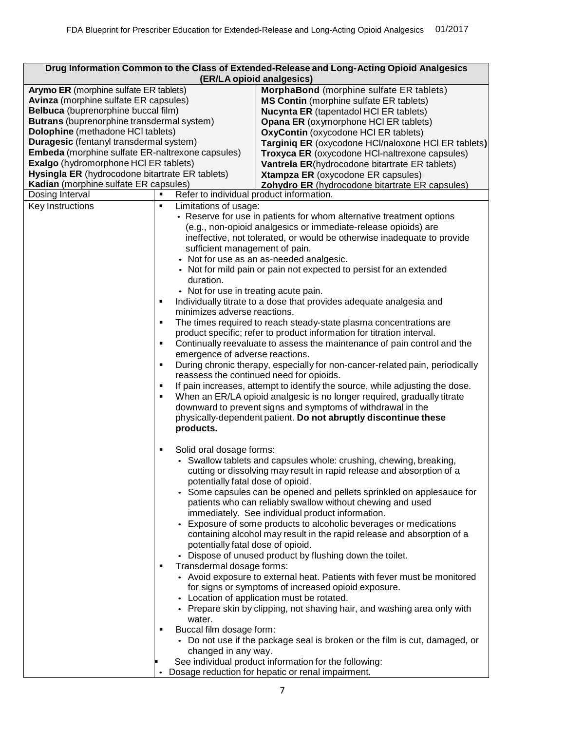|                                                                                                                                                                                                                                                                                                                                                                                                                                                      |                                                                                                                                                                                                                        | Drug Information Common to the Class of Extended-Release and Long-Acting Opioid Analgesics<br>(ER/LA opioid analgesics)                                                                                                                                                                                                                                                                                                                                                                                                                                                                                                                                                                                                                                                                                                                                                                                                                                                                                                                                          |
|------------------------------------------------------------------------------------------------------------------------------------------------------------------------------------------------------------------------------------------------------------------------------------------------------------------------------------------------------------------------------------------------------------------------------------------------------|------------------------------------------------------------------------------------------------------------------------------------------------------------------------------------------------------------------------|------------------------------------------------------------------------------------------------------------------------------------------------------------------------------------------------------------------------------------------------------------------------------------------------------------------------------------------------------------------------------------------------------------------------------------------------------------------------------------------------------------------------------------------------------------------------------------------------------------------------------------------------------------------------------------------------------------------------------------------------------------------------------------------------------------------------------------------------------------------------------------------------------------------------------------------------------------------------------------------------------------------------------------------------------------------|
| Arymo ER (morphine sulfate ER tablets)<br><b>Avinza</b> (morphine sulfate ER capsules)<br>Belbuca (buprenorphine buccal film)<br>Butrans (buprenorphine transdermal system)<br>Dolophine (methadone HCI tablets)<br>Duragesic (fentanyl transdermal system)<br>Embeda (morphine sulfate ER-naltrexone capsules)<br>Exalgo (hydromorphone HCI ER tablets)<br>Hysingla ER (hydrocodone bitartrate ER tablets)<br>Kadian (morphine sulfate ER capsules) |                                                                                                                                                                                                                        | MorphaBond (morphine sulfate ER tablets)<br><b>MS Contin</b> (morphine sulfate ER tablets)<br><b>Nucynta ER</b> (tapentadol HCI ER tablets)<br><b>Opana ER</b> (oxymorphone HCI ER tablets)<br>OxyContin (oxycodone HCI ER tablets)<br>Targiniq ER (oxycodone HCl/naloxone HCl ER tablets)<br>Troxyca ER (oxycodone HCI-naltrexone capsules)<br>Vantrela ER(hydrocodone bitartrate ER tablets)<br>Xtampza ER (oxycodone ER capsules)<br>Zohydro ER (hydrocodone bitartrate ER capsules)                                                                                                                                                                                                                                                                                                                                                                                                                                                                                                                                                                          |
| Dosing Interval                                                                                                                                                                                                                                                                                                                                                                                                                                      | Refer to individual product information.<br>$\blacksquare$                                                                                                                                                             |                                                                                                                                                                                                                                                                                                                                                                                                                                                                                                                                                                                                                                                                                                                                                                                                                                                                                                                                                                                                                                                                  |
| Key Instructions                                                                                                                                                                                                                                                                                                                                                                                                                                     | Limitations of usage:<br>٠<br>sufficient management of pain.<br>duration.<br>• Not for use in treating acute pain.<br>٠<br>minimizes adverse reactions.<br>٠<br>٠<br>emergence of adverse reactions.<br>٠<br>products. | • Reserve for use in patients for whom alternative treatment options<br>(e.g., non-opioid analgesics or immediate-release opioids) are<br>ineffective, not tolerated, or would be otherwise inadequate to provide<br>• Not for use as an as-needed analgesic.<br>• Not for mild pain or pain not expected to persist for an extended<br>Individually titrate to a dose that provides adequate analgesia and<br>The times required to reach steady-state plasma concentrations are<br>product specific; refer to product information for titration interval.<br>Continually reevaluate to assess the maintenance of pain control and the<br>During chronic therapy, especially for non-cancer-related pain, periodically<br>reassess the continued need for opioids.<br>If pain increases, attempt to identify the source, while adjusting the dose.<br>When an ER/LA opioid analgesic is no longer required, gradually titrate<br>downward to prevent signs and symptoms of withdrawal in the<br>physically-dependent patient. Do not abruptly discontinue these |
|                                                                                                                                                                                                                                                                                                                                                                                                                                                      | Solid oral dosage forms:<br>٠<br>potentially fatal dose of opioid.<br>potentially fatal dose of opioid.<br>Transdermal dosage forms:<br>٠<br>water.<br>Buccal film dosage form:<br>changed in any way.                 | • Swallow tablets and capsules whole: crushing, chewing, breaking,<br>cutting or dissolving may result in rapid release and absorption of a<br>Some capsules can be opened and pellets sprinkled on applesauce for<br>patients who can reliably swallow without chewing and used<br>immediately. See individual product information.<br>Exposure of some products to alcoholic beverages or medications<br>containing alcohol may result in the rapid release and absorption of a<br>• Dispose of unused product by flushing down the toilet.<br>• Avoid exposure to external heat. Patients with fever must be monitored<br>for signs or symptoms of increased opioid exposure.<br>• Location of application must be rotated.<br>• Prepare skin by clipping, not shaving hair, and washing area only with<br>• Do not use if the package seal is broken or the film is cut, damaged, or<br>See individual product information for the following:<br>Dosage reduction for hepatic or renal impairment.                                                           |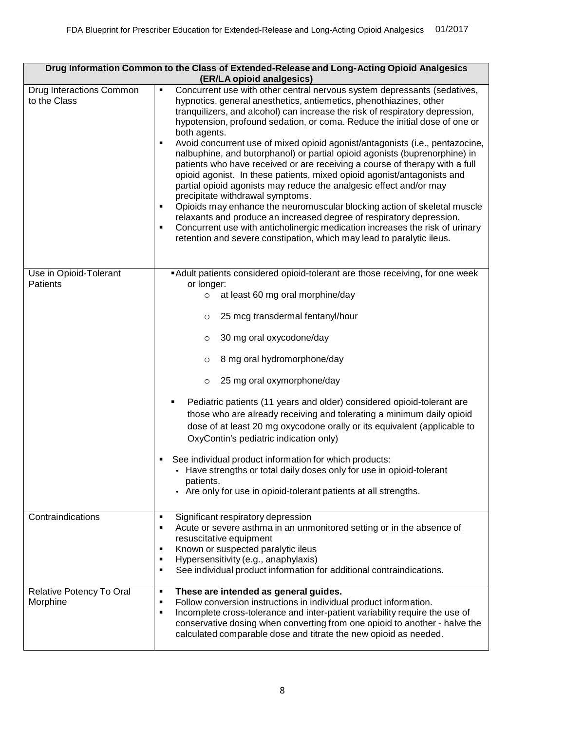| Drug Information Common to the Class of Extended-Release and Long-Acting Opioid Analgesics<br>(ER/LA opioid analgesics) |                                                                                                                                                                                                                                                                                                                                                                                                                                                                                                                                                                                                                                                                                                                                                                                                                                                                                                                                                                                                                                                                                                 |
|-------------------------------------------------------------------------------------------------------------------------|-------------------------------------------------------------------------------------------------------------------------------------------------------------------------------------------------------------------------------------------------------------------------------------------------------------------------------------------------------------------------------------------------------------------------------------------------------------------------------------------------------------------------------------------------------------------------------------------------------------------------------------------------------------------------------------------------------------------------------------------------------------------------------------------------------------------------------------------------------------------------------------------------------------------------------------------------------------------------------------------------------------------------------------------------------------------------------------------------|
| Drug Interactions Common<br>to the Class                                                                                | Concurrent use with other central nervous system depressants (sedatives,<br>٠<br>hypnotics, general anesthetics, antiemetics, phenothiazines, other<br>tranquilizers, and alcohol) can increase the risk of respiratory depression,<br>hypotension, profound sedation, or coma. Reduce the initial dose of one or<br>both agents.<br>Avoid concurrent use of mixed opioid agonist/antagonists (i.e., pentazocine,<br>٠<br>nalbuphine, and butorphanol) or partial opioid agonists (buprenorphine) in<br>patients who have received or are receiving a course of therapy with a full<br>opioid agonist. In these patients, mixed opioid agonist/antagonists and<br>partial opioid agonists may reduce the analgesic effect and/or may<br>precipitate withdrawal symptoms.<br>Opioids may enhance the neuromuscular blocking action of skeletal muscle<br>٠<br>relaxants and produce an increased degree of respiratory depression.<br>Concurrent use with anticholinergic medication increases the risk of urinary<br>٠<br>retention and severe constipation, which may lead to paralytic ileus. |
| Use in Opioid-Tolerant<br>Patients                                                                                      | Adult patients considered opioid-tolerant are those receiving, for one week<br>or longer:                                                                                                                                                                                                                                                                                                                                                                                                                                                                                                                                                                                                                                                                                                                                                                                                                                                                                                                                                                                                       |
|                                                                                                                         | at least 60 mg oral morphine/day<br>$\circ$                                                                                                                                                                                                                                                                                                                                                                                                                                                                                                                                                                                                                                                                                                                                                                                                                                                                                                                                                                                                                                                     |
|                                                                                                                         | 25 mcg transdermal fentanyl/hour<br>$\circ$                                                                                                                                                                                                                                                                                                                                                                                                                                                                                                                                                                                                                                                                                                                                                                                                                                                                                                                                                                                                                                                     |
|                                                                                                                         | 30 mg oral oxycodone/day<br>$\circ$                                                                                                                                                                                                                                                                                                                                                                                                                                                                                                                                                                                                                                                                                                                                                                                                                                                                                                                                                                                                                                                             |
|                                                                                                                         | 8 mg oral hydromorphone/day<br>$\circ$                                                                                                                                                                                                                                                                                                                                                                                                                                                                                                                                                                                                                                                                                                                                                                                                                                                                                                                                                                                                                                                          |
|                                                                                                                         | 25 mg oral oxymorphone/day<br>$\circ$                                                                                                                                                                                                                                                                                                                                                                                                                                                                                                                                                                                                                                                                                                                                                                                                                                                                                                                                                                                                                                                           |
|                                                                                                                         | Pediatric patients (11 years and older) considered opioid-tolerant are<br>those who are already receiving and tolerating a minimum daily opioid<br>dose of at least 20 mg oxycodone orally or its equivalent (applicable to<br>OxyContin's pediatric indication only)                                                                                                                                                                                                                                                                                                                                                                                                                                                                                                                                                                                                                                                                                                                                                                                                                           |
|                                                                                                                         | See individual product information for which products:<br>• Have strengths or total daily doses only for use in opioid-tolerant<br>patients.<br>• Are only for use in opioid-tolerant patients at all strengths.                                                                                                                                                                                                                                                                                                                                                                                                                                                                                                                                                                                                                                                                                                                                                                                                                                                                                |
| Contraindications                                                                                                       | Significant respiratory depression<br>Acute or severe asthma in an unmonitored setting or in the absence of<br>٠<br>resuscitative equipment<br>Known or suspected paralytic ileus<br>٠<br>Hypersensitivity (e.g., anaphylaxis)<br>٠<br>See individual product information for additional contraindications.<br>٠                                                                                                                                                                                                                                                                                                                                                                                                                                                                                                                                                                                                                                                                                                                                                                                |
| Relative Potency To Oral<br>Morphine                                                                                    | These are intended as general guides.<br>٠<br>Follow conversion instructions in individual product information.<br>٠<br>Incomplete cross-tolerance and inter-patient variability require the use of<br>٠<br>conservative dosing when converting from one opioid to another - halve the<br>calculated comparable dose and titrate the new opioid as needed.                                                                                                                                                                                                                                                                                                                                                                                                                                                                                                                                                                                                                                                                                                                                      |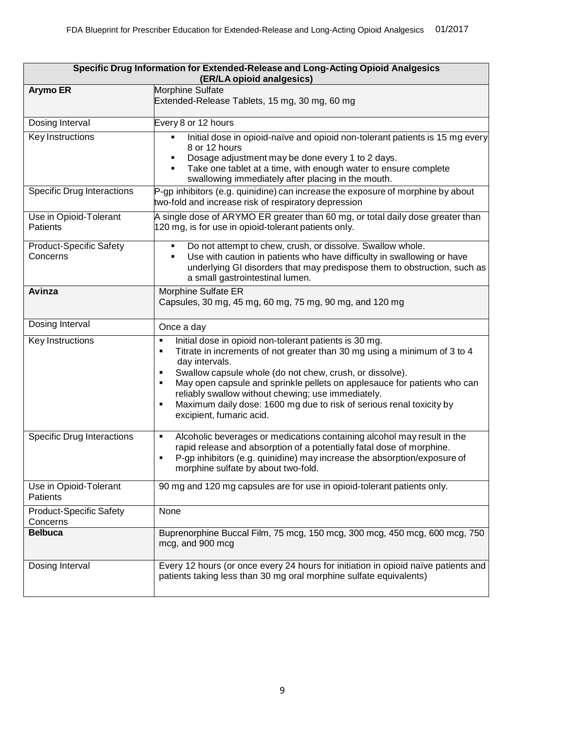| Specific Drug Information for Extended-Release and Long-Acting Opioid Analgesics<br>(ER/LA opioid analgesics) |                                                                                                                                                                                                                                                                                                                                                                                                                                                                                  |
|---------------------------------------------------------------------------------------------------------------|----------------------------------------------------------------------------------------------------------------------------------------------------------------------------------------------------------------------------------------------------------------------------------------------------------------------------------------------------------------------------------------------------------------------------------------------------------------------------------|
| <b>Arymo ER</b>                                                                                               | Morphine Sulfate<br>Extended-Release Tablets, 15 mg, 30 mg, 60 mg                                                                                                                                                                                                                                                                                                                                                                                                                |
| Dosing Interval                                                                                               | Every 8 or 12 hours                                                                                                                                                                                                                                                                                                                                                                                                                                                              |
| Key Instructions                                                                                              | Initial dose in opioid-naïve and opioid non-tolerant patients is 15 mg every<br>$\blacksquare$<br>8 or 12 hours<br>Dosage adjustment may be done every 1 to 2 days.<br>٠<br>Take one tablet at a time, with enough water to ensure complete<br>٠<br>swallowing immediately after placing in the mouth.                                                                                                                                                                           |
| <b>Specific Drug Interactions</b>                                                                             | $P$ -gp inhibitors (e.g. quinidine) can increase the exposure of morphine by about<br>two-fold and increase risk of respiratory depression                                                                                                                                                                                                                                                                                                                                       |
| Use in Opioid-Tolerant<br><b>Patients</b>                                                                     | A single dose of ARYMO ER greater than 60 mg, or total daily dose greater than<br>120 mg, is for use in opioid-tolerant patients only.                                                                                                                                                                                                                                                                                                                                           |
| <b>Product-Specific Safety</b><br>Concerns                                                                    | Do not attempt to chew, crush, or dissolve. Swallow whole.<br>٠<br>Use with caution in patients who have difficulty in swallowing or have<br>٠<br>underlying GI disorders that may predispose them to obstruction, such as<br>a small gastrointestinal lumen.                                                                                                                                                                                                                    |
| Avinza                                                                                                        | Morphine Sulfate ER<br>Capsules, 30 mg, 45 mg, 60 mg, 75 mg, 90 mg, and 120 mg                                                                                                                                                                                                                                                                                                                                                                                                   |
| Dosing Interval                                                                                               | Once a day                                                                                                                                                                                                                                                                                                                                                                                                                                                                       |
| Key Instructions                                                                                              | Initial dose in opioid non-tolerant patients is 30 mg.<br>٠<br>Titrate in increments of not greater than 30 mg using a minimum of 3 to 4<br>٠<br>day intervals.<br>Swallow capsule whole (do not chew, crush, or dissolve).<br>٠<br>May open capsule and sprinkle pellets on applesauce for patients who can<br>٠<br>reliably swallow without chewing; use immediately.<br>Maximum daily dose: 1600 mg due to risk of serious renal toxicity by<br>٠<br>excipient, fumaric acid. |
| <b>Specific Drug Interactions</b>                                                                             | Alcoholic beverages or medications containing alcohol may result in the<br>٠<br>rapid release and absorption of a potentially fatal dose of morphine.<br>P-gp inhibitors (e.g. quinidine) may increase the absorption/exposure of<br>$\blacksquare$<br>morphine sulfate by about two-fold.                                                                                                                                                                                       |
| Use in Opioid-Tolerant<br>Patients                                                                            | 90 mg and 120 mg capsules are for use in opioid-tolerant patients only.                                                                                                                                                                                                                                                                                                                                                                                                          |
| <b>Product-Specific Safety</b><br>Concerns                                                                    | None                                                                                                                                                                                                                                                                                                                                                                                                                                                                             |
| <b>Belbuca</b>                                                                                                | Buprenorphine Buccal Film, 75 mcg, 150 mcg, 300 mcg, 450 mcg, 600 mcg, 750<br>mcg, and 900 mcg                                                                                                                                                                                                                                                                                                                                                                                   |
| Dosing Interval                                                                                               | Every 12 hours (or once every 24 hours for initiation in opioid naïve patients and<br>patients taking less than 30 mg oral morphine sulfate equivalents)                                                                                                                                                                                                                                                                                                                         |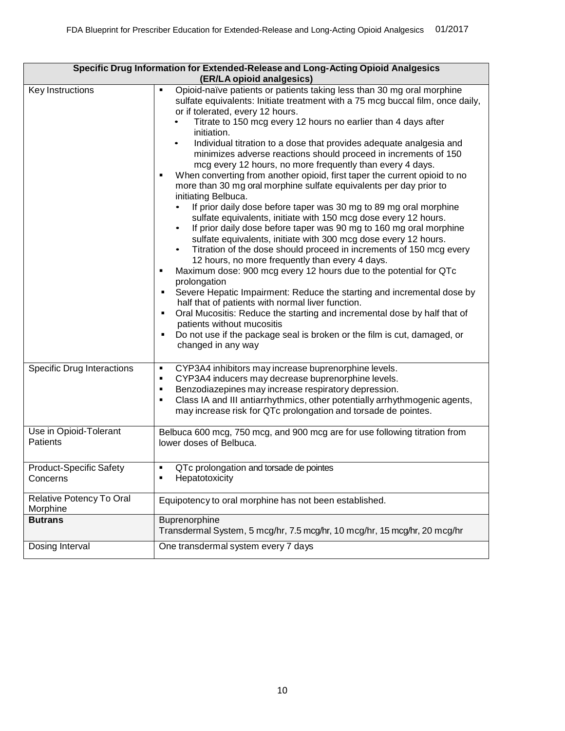| Specific Drug Information for Extended-Release and Long-Acting Opioid Analgesics |                                                                                                                                                                                                                                                                                                                                                                                                                                                                                                                                                                                                                                                                                                                                                                                                                                                                                                                                                                                                                                                                                                                                                                                                                                                                                                                                                                                                                                                                                                                                                                                                        |  |
|----------------------------------------------------------------------------------|--------------------------------------------------------------------------------------------------------------------------------------------------------------------------------------------------------------------------------------------------------------------------------------------------------------------------------------------------------------------------------------------------------------------------------------------------------------------------------------------------------------------------------------------------------------------------------------------------------------------------------------------------------------------------------------------------------------------------------------------------------------------------------------------------------------------------------------------------------------------------------------------------------------------------------------------------------------------------------------------------------------------------------------------------------------------------------------------------------------------------------------------------------------------------------------------------------------------------------------------------------------------------------------------------------------------------------------------------------------------------------------------------------------------------------------------------------------------------------------------------------------------------------------------------------------------------------------------------------|--|
| <b>Key Instructions</b>                                                          | (ER/LA opioid analgesics)<br>Opioid-naïve patients or patients taking less than 30 mg oral morphine<br>٠<br>sulfate equivalents: Initiate treatment with a 75 mcg buccal film, once daily,<br>or if tolerated, every 12 hours.<br>Titrate to 150 mcg every 12 hours no earlier than 4 days after<br>initiation.<br>Individual titration to a dose that provides adequate analgesia and<br>$\bullet$<br>minimizes adverse reactions should proceed in increments of 150<br>mcg every 12 hours, no more frequently than every 4 days.<br>When converting from another opioid, first taper the current opioid to no<br>more than 30 mg oral morphine sulfate equivalents per day prior to<br>initiating Belbuca.<br>If prior daily dose before taper was 30 mg to 89 mg oral morphine<br>sulfate equivalents, initiate with 150 mcg dose every 12 hours.<br>If prior daily dose before taper was 90 mg to 160 mg oral morphine<br>$\bullet$<br>sulfate equivalents, initiate with 300 mcg dose every 12 hours.<br>Titration of the dose should proceed in increments of 150 mcg every<br>$\bullet$<br>12 hours, no more frequently than every 4 days.<br>Maximum dose: 900 mcg every 12 hours due to the potential for QTc<br>٠<br>prolongation<br>Severe Hepatic Impairment: Reduce the starting and incremental dose by<br>٠<br>half that of patients with normal liver function.<br>Oral Mucositis: Reduce the starting and incremental dose by half that of<br>٠<br>patients without mucositis<br>Do not use if the package seal is broken or the film is cut, damaged, or<br>٠<br>changed in any way |  |
| <b>Specific Drug Interactions</b>                                                | CYP3A4 inhibitors may increase buprenorphine levels.<br>٠<br>CYP3A4 inducers may decrease buprenorphine levels.<br>٠<br>Benzodiazepines may increase respiratory depression.<br>٠<br>Class IA and III antiarrhythmics, other potentially arrhythmogenic agents,<br>٠<br>may increase risk for QTc prolongation and torsade de pointes.                                                                                                                                                                                                                                                                                                                                                                                                                                                                                                                                                                                                                                                                                                                                                                                                                                                                                                                                                                                                                                                                                                                                                                                                                                                                 |  |
| Use in Opioid-Tolerant<br>Patients                                               | Belbuca 600 mcg, 750 mcg, and 900 mcg are for use following titration from<br>lower doses of Belbuca.                                                                                                                                                                                                                                                                                                                                                                                                                                                                                                                                                                                                                                                                                                                                                                                                                                                                                                                                                                                                                                                                                                                                                                                                                                                                                                                                                                                                                                                                                                  |  |
| <b>Product-Specific Safety</b><br>Concerns                                       | QTc prolongation and torsade de pointes<br>$\blacksquare$<br>Hepatotoxicity<br>٠                                                                                                                                                                                                                                                                                                                                                                                                                                                                                                                                                                                                                                                                                                                                                                                                                                                                                                                                                                                                                                                                                                                                                                                                                                                                                                                                                                                                                                                                                                                       |  |
| Relative Potency To Oral<br>Morphine                                             | Equipotency to oral morphine has not been established.                                                                                                                                                                                                                                                                                                                                                                                                                                                                                                                                                                                                                                                                                                                                                                                                                                                                                                                                                                                                                                                                                                                                                                                                                                                                                                                                                                                                                                                                                                                                                 |  |
| <b>Butrans</b>                                                                   | Buprenorphine<br>Transdermal System, 5 mcg/hr, 7.5 mcg/hr, 10 mcg/hr, 15 mcg/hr, 20 mcg/hr                                                                                                                                                                                                                                                                                                                                                                                                                                                                                                                                                                                                                                                                                                                                                                                                                                                                                                                                                                                                                                                                                                                                                                                                                                                                                                                                                                                                                                                                                                             |  |
| Dosing Interval                                                                  | One transdermal system every 7 days                                                                                                                                                                                                                                                                                                                                                                                                                                                                                                                                                                                                                                                                                                                                                                                                                                                                                                                                                                                                                                                                                                                                                                                                                                                                                                                                                                                                                                                                                                                                                                    |  |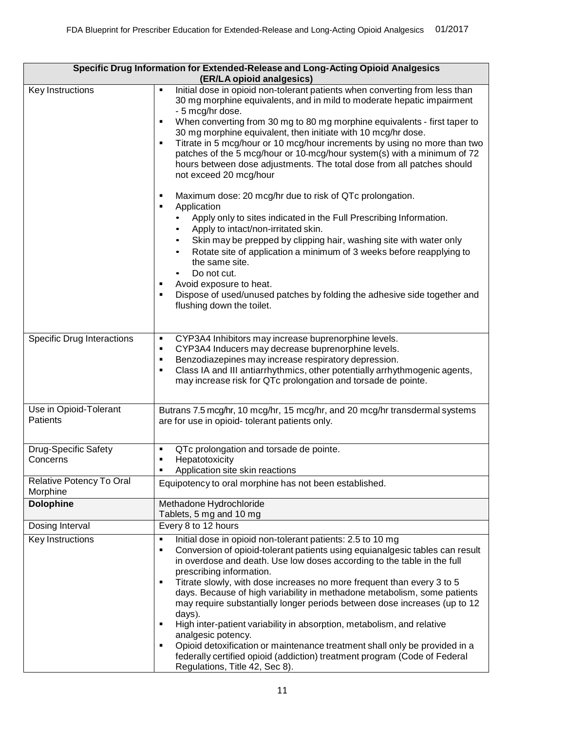| Specific Drug Information for Extended-Release and Long-Acting Opioid Analgesics<br>(ER/LA opioid analgesics) |                                                                                                                                                                                                                                                                                                                                                                                                                                                                                                                                                                                                                                                                                                                                                                                                                                                                                                                                                                                                                                                                                                                                                             |  |
|---------------------------------------------------------------------------------------------------------------|-------------------------------------------------------------------------------------------------------------------------------------------------------------------------------------------------------------------------------------------------------------------------------------------------------------------------------------------------------------------------------------------------------------------------------------------------------------------------------------------------------------------------------------------------------------------------------------------------------------------------------------------------------------------------------------------------------------------------------------------------------------------------------------------------------------------------------------------------------------------------------------------------------------------------------------------------------------------------------------------------------------------------------------------------------------------------------------------------------------------------------------------------------------|--|
| Key Instructions                                                                                              | Initial dose in opioid non-tolerant patients when converting from less than<br>$\blacksquare$<br>30 mg morphine equivalents, and in mild to moderate hepatic impairment<br>- 5 mcg/hr dose.<br>When converting from 30 mg to 80 mg morphine equivalents - first taper to<br>٠<br>30 mg morphine equivalent, then initiate with 10 mcg/hr dose.<br>Titrate in 5 mcg/hour or 10 mcg/hour increments by using no more than two<br>٠<br>patches of the 5 mcg/hour or 10-mcg/hour system(s) with a minimum of 72<br>hours between dose adjustments. The total dose from all patches should<br>not exceed 20 mcg/hour<br>Maximum dose: 20 mcg/hr due to risk of QTc prolongation.<br>٠<br>Application<br>٠<br>Apply only to sites indicated in the Full Prescribing Information.<br>Apply to intact/non-irritated skin.<br>Skin may be prepped by clipping hair, washing site with water only<br>Rotate site of application a minimum of 3 weeks before reapplying to<br>$\bullet$<br>the same site.<br>Do not cut.<br>Avoid exposure to heat.<br>٠<br>Dispose of used/unused patches by folding the adhesive side together and<br>٠<br>flushing down the toilet. |  |
| <b>Specific Drug Interactions</b>                                                                             | CYP3A4 Inhibitors may increase buprenorphine levels.<br>٠<br>CYP3A4 Inducers may decrease buprenorphine levels.<br>٠<br>Benzodiazepines may increase respiratory depression.<br>٠<br>Class IA and III antiarrhythmics, other potentially arrhythmogenic agents,<br>٠<br>may increase risk for QTc prolongation and torsade de pointe.                                                                                                                                                                                                                                                                                                                                                                                                                                                                                                                                                                                                                                                                                                                                                                                                                       |  |
| Use in Opioid-Tolerant<br>Patients                                                                            | Butrans 7.5 mcg/hr, 10 mcg/hr, 15 mcg/hr, and 20 mcg/hr transdermal systems<br>are for use in opioid- tolerant patients only.                                                                                                                                                                                                                                                                                                                                                                                                                                                                                                                                                                                                                                                                                                                                                                                                                                                                                                                                                                                                                               |  |
| <b>Drug-Specific Safety</b><br>Concerns<br>Relative Potency To Oral                                           | QTc prolongation and torsade de pointe.<br>٠<br>Hepatotoxicity<br>٠<br>Application site skin reactions<br>п<br>Equipotency to oral morphine has not been established.                                                                                                                                                                                                                                                                                                                                                                                                                                                                                                                                                                                                                                                                                                                                                                                                                                                                                                                                                                                       |  |
| Morphine<br><b>Dolophine</b>                                                                                  | Methadone Hydrochloride<br>Tablets, 5 mg and 10 mg                                                                                                                                                                                                                                                                                                                                                                                                                                                                                                                                                                                                                                                                                                                                                                                                                                                                                                                                                                                                                                                                                                          |  |
| Dosing Interval                                                                                               | Every 8 to 12 hours                                                                                                                                                                                                                                                                                                                                                                                                                                                                                                                                                                                                                                                                                                                                                                                                                                                                                                                                                                                                                                                                                                                                         |  |
| Key Instructions                                                                                              | Initial dose in opioid non-tolerant patients: 2.5 to 10 mg<br>$\blacksquare$<br>Conversion of opioid-tolerant patients using equianalgesic tables can result<br>٠<br>in overdose and death. Use low doses according to the table in the full<br>prescribing information.<br>Titrate slowly, with dose increases no more frequent than every 3 to 5<br>٠<br>days. Because of high variability in methadone metabolism, some patients<br>may require substantially longer periods between dose increases (up to 12<br>days).<br>High inter-patient variability in absorption, metabolism, and relative<br>٠<br>analgesic potency.<br>Opioid detoxification or maintenance treatment shall only be provided in a<br>٠<br>federally certified opioid (addiction) treatment program (Code of Federal<br>Regulations, Title 42, Sec 8).                                                                                                                                                                                                                                                                                                                           |  |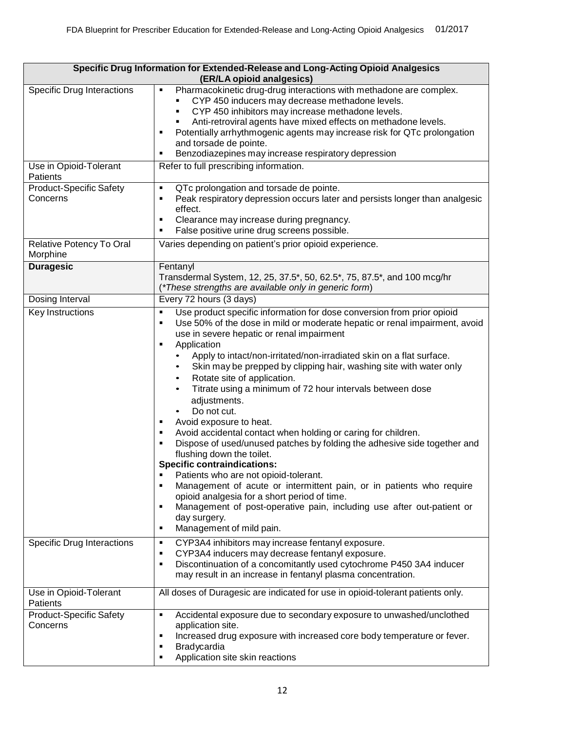| Specific Drug Information for Extended-Release and Long-Acting Opioid Analgesics<br>(ER/LA opioid analgesics) |                                                                                                                                                                                                                                                                                                                                                                                                                                                                                                                                                                                                                                                                                                                                                                                                                                                                                                                                                                                                                                                                                                                |  |
|---------------------------------------------------------------------------------------------------------------|----------------------------------------------------------------------------------------------------------------------------------------------------------------------------------------------------------------------------------------------------------------------------------------------------------------------------------------------------------------------------------------------------------------------------------------------------------------------------------------------------------------------------------------------------------------------------------------------------------------------------------------------------------------------------------------------------------------------------------------------------------------------------------------------------------------------------------------------------------------------------------------------------------------------------------------------------------------------------------------------------------------------------------------------------------------------------------------------------------------|--|
| <b>Specific Drug Interactions</b>                                                                             | Pharmacokinetic drug-drug interactions with methadone are complex.<br>٠<br>CYP 450 inducers may decrease methadone levels.<br>CYP 450 inhibitors may increase methadone levels.<br>Anti-retroviral agents have mixed effects on methadone levels.<br>Potentially arrhythmogenic agents may increase risk for QTc prolongation<br>٠<br>and torsade de pointe.<br>Benzodiazepines may increase respiratory depression<br>п                                                                                                                                                                                                                                                                                                                                                                                                                                                                                                                                                                                                                                                                                       |  |
| Use in Opioid-Tolerant<br>Patients                                                                            | Refer to full prescribing information.                                                                                                                                                                                                                                                                                                                                                                                                                                                                                                                                                                                                                                                                                                                                                                                                                                                                                                                                                                                                                                                                         |  |
| <b>Product-Specific Safety</b><br>Concerns                                                                    | QTc prolongation and torsade de pointe.<br>$\blacksquare$<br>Peak respiratory depression occurs later and persists longer than analgesic<br>٠<br>effect.<br>Clearance may increase during pregnancy.<br>٠<br>False positive urine drug screens possible.                                                                                                                                                                                                                                                                                                                                                                                                                                                                                                                                                                                                                                                                                                                                                                                                                                                       |  |
| Relative Potency To Oral<br>Morphine                                                                          | Varies depending on patient's prior opioid experience.                                                                                                                                                                                                                                                                                                                                                                                                                                                                                                                                                                                                                                                                                                                                                                                                                                                                                                                                                                                                                                                         |  |
| <b>Duragesic</b>                                                                                              | Fentanyl<br>Transdermal System, 12, 25, 37.5*, 50, 62.5*, 75, 87.5*, and 100 mcg/hr<br>(*These strengths are available only in generic form)                                                                                                                                                                                                                                                                                                                                                                                                                                                                                                                                                                                                                                                                                                                                                                                                                                                                                                                                                                   |  |
| Dosing Interval                                                                                               | Every 72 hours (3 days)                                                                                                                                                                                                                                                                                                                                                                                                                                                                                                                                                                                                                                                                                                                                                                                                                                                                                                                                                                                                                                                                                        |  |
| Key Instructions                                                                                              | Use product specific information for dose conversion from prior opioid<br>$\blacksquare$<br>Use 50% of the dose in mild or moderate hepatic or renal impairment, avoid<br>٠<br>use in severe hepatic or renal impairment<br>Application<br>$\blacksquare$<br>Apply to intact/non-irritated/non-irradiated skin on a flat surface.<br>Skin may be prepped by clipping hair, washing site with water only<br>٠<br>Rotate site of application.<br>$\bullet$<br>Titrate using a minimum of 72 hour intervals between dose<br>adjustments.<br>Do not cut.<br>Avoid exposure to heat.<br>Avoid accidental contact when holding or caring for children.<br>٠<br>Dispose of used/unused patches by folding the adhesive side together and<br>٠<br>flushing down the toilet.<br><b>Specific contraindications:</b><br>Patients who are not opioid-tolerant.<br>Management of acute or intermittent pain, or in patients who require<br>٠<br>opioid analgesia for a short period of time.<br>Management of post-operative pain, including use after out-patient or<br>٠<br>day surgery.<br>Management of mild pain.<br>٠ |  |
| Specific Drug Interactions                                                                                    | CYP3A4 inhibitors may increase fentanyl exposure.<br>٠<br>CYP3A4 inducers may decrease fentanyl exposure.<br>٠<br>Discontinuation of a concomitantly used cytochrome P450 3A4 inducer<br>٠<br>may result in an increase in fentanyl plasma concentration.                                                                                                                                                                                                                                                                                                                                                                                                                                                                                                                                                                                                                                                                                                                                                                                                                                                      |  |
| Use in Opioid-Tolerant<br>Patients                                                                            | All doses of Duragesic are indicated for use in opioid-tolerant patients only.                                                                                                                                                                                                                                                                                                                                                                                                                                                                                                                                                                                                                                                                                                                                                                                                                                                                                                                                                                                                                                 |  |
| <b>Product-Specific Safety</b><br>Concerns                                                                    | Accidental exposure due to secondary exposure to unwashed/unclothed<br>$\blacksquare$<br>application site.<br>Increased drug exposure with increased core body temperature or fever.<br>٠<br>Bradycardia<br>п<br>Application site skin reactions<br>٠                                                                                                                                                                                                                                                                                                                                                                                                                                                                                                                                                                                                                                                                                                                                                                                                                                                          |  |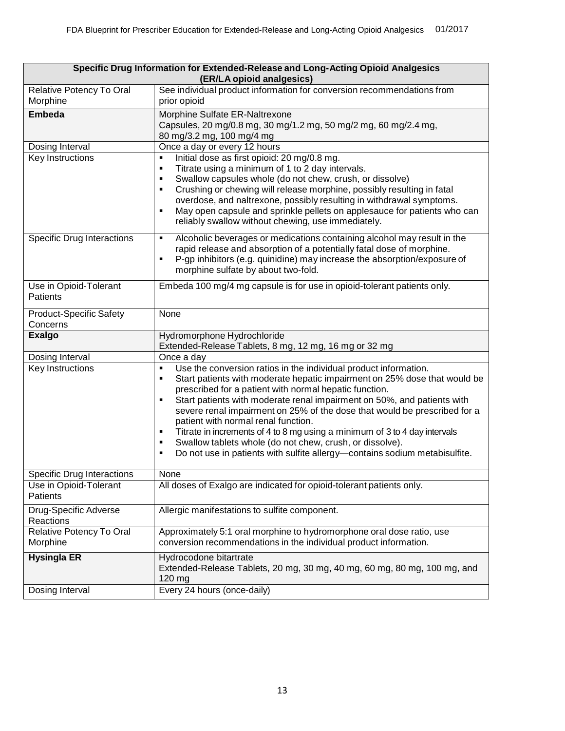| Specific Drug Information for Extended-Release and Long-Acting Opioid Analgesics<br>(ER/LA opioid analgesics) |                                                                                                                                                                                                                                                                                                                                                                                                                                                                                       |
|---------------------------------------------------------------------------------------------------------------|---------------------------------------------------------------------------------------------------------------------------------------------------------------------------------------------------------------------------------------------------------------------------------------------------------------------------------------------------------------------------------------------------------------------------------------------------------------------------------------|
| Relative Potency To Oral<br>Morphine                                                                          | See individual product information for conversion recommendations from<br>prior opioid                                                                                                                                                                                                                                                                                                                                                                                                |
| <b>Embeda</b>                                                                                                 | Morphine Sulfate ER-Naltrexone<br>Capsules, 20 mg/0.8 mg, 30 mg/1.2 mg, 50 mg/2 mg, 60 mg/2.4 mg,<br>80 mg/3.2 mg, 100 mg/4 mg                                                                                                                                                                                                                                                                                                                                                        |
| Dosing Interval                                                                                               | Once a day or every 12 hours                                                                                                                                                                                                                                                                                                                                                                                                                                                          |
| Key Instructions                                                                                              | Initial dose as first opioid: 20 mg/0.8 mg.<br>٠<br>Titrate using a minimum of 1 to 2 day intervals.<br>٠<br>Swallow capsules whole (do not chew, crush, or dissolve)<br>٠<br>Crushing or chewing will release morphine, possibly resulting in fatal<br>٠<br>overdose, and naltrexone, possibly resulting in withdrawal symptoms.<br>May open capsule and sprinkle pellets on applesauce for patients who can<br>$\blacksquare$<br>reliably swallow without chewing, use immediately. |
| <b>Specific Drug Interactions</b>                                                                             | Alcoholic beverages or medications containing alcohol may result in the<br>٠<br>rapid release and absorption of a potentially fatal dose of morphine.<br>P-gp inhibitors (e.g. quinidine) may increase the absorption/exposure of<br>٠<br>morphine sulfate by about two-fold.                                                                                                                                                                                                         |
| Use in Opioid-Tolerant<br><b>Patients</b>                                                                     | Embeda 100 mg/4 mg capsule is for use in opioid-tolerant patients only.                                                                                                                                                                                                                                                                                                                                                                                                               |
| <b>Product-Specific Safety</b><br>Concerns                                                                    | None                                                                                                                                                                                                                                                                                                                                                                                                                                                                                  |
| <b>Exalgo</b>                                                                                                 | Hydromorphone Hydrochloride<br>Extended-Release Tablets, 8 mg, 12 mg, 16 mg or 32 mg                                                                                                                                                                                                                                                                                                                                                                                                  |
| Dosing Interval                                                                                               | Once a day                                                                                                                                                                                                                                                                                                                                                                                                                                                                            |
| Key Instructions                                                                                              | Use the conversion ratios in the individual product information.<br>٠<br>Start patients with moderate hepatic impairment on 25% dose that would be<br>٠<br>prescribed for a patient with normal hepatic function.<br>Start patients with moderate renal impairment on 50%, and patients with<br>٠                                                                                                                                                                                     |
|                                                                                                               | severe renal impairment on 25% of the dose that would be prescribed for a<br>patient with normal renal function.<br>Titrate in increments of 4 to 8 mg using a minimum of 3 to 4 day intervals<br>٠<br>Swallow tablets whole (do not chew, crush, or dissolve).<br>٠<br>Do not use in patients with sulfite allergy-contains sodium metabisulfite.<br>٠                                                                                                                               |
|                                                                                                               | None                                                                                                                                                                                                                                                                                                                                                                                                                                                                                  |
| <b>Specific Drug Interactions</b><br>Use in Opioid-Tolerant<br>Patients                                       | All doses of Exalgo are indicated for opioid-tolerant patients only.                                                                                                                                                                                                                                                                                                                                                                                                                  |
| Drug-Specific Adverse<br>Reactions                                                                            | Allergic manifestations to sulfite component.                                                                                                                                                                                                                                                                                                                                                                                                                                         |
| Relative Potency To Oral<br>Morphine                                                                          | Approximately 5:1 oral morphine to hydromorphone oral dose ratio, use<br>conversion recommendations in the individual product information.                                                                                                                                                                                                                                                                                                                                            |
| <b>Hysingla ER</b><br>Dosing Interval                                                                         | Hydrocodone bitartrate<br>Extended-Release Tablets, 20 mg, 30 mg, 40 mg, 60 mg, 80 mg, 100 mg, and<br>120 mg<br>Every 24 hours (once-daily)                                                                                                                                                                                                                                                                                                                                           |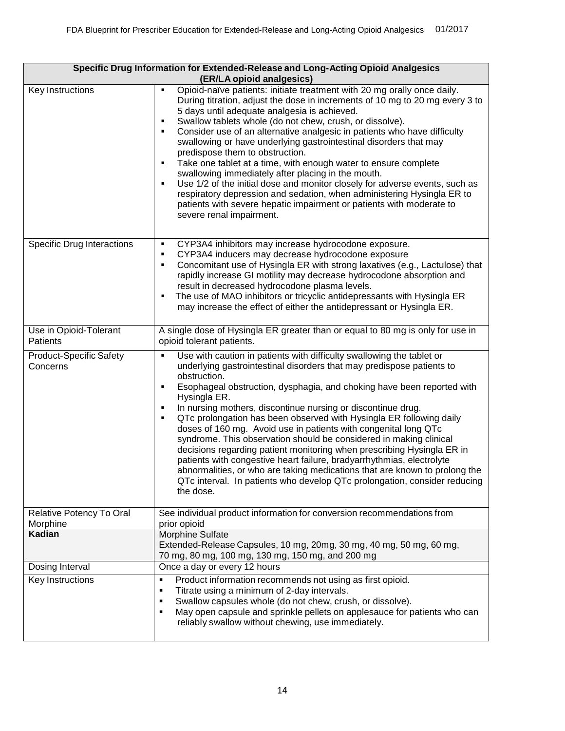| Specific Drug Information for Extended-Release and Long-Acting Opioid Analgesics<br>(ER/LA opioid analgesics) |                                                                                                                                                                                                                                                                                                                                                                                                                                                                                                                                                                                                                                                                                                                                                                                                                                                                                                      |  |
|---------------------------------------------------------------------------------------------------------------|------------------------------------------------------------------------------------------------------------------------------------------------------------------------------------------------------------------------------------------------------------------------------------------------------------------------------------------------------------------------------------------------------------------------------------------------------------------------------------------------------------------------------------------------------------------------------------------------------------------------------------------------------------------------------------------------------------------------------------------------------------------------------------------------------------------------------------------------------------------------------------------------------|--|
| Key Instructions                                                                                              | Opioid-naïve patients: initiate treatment with 20 mg orally once daily.<br>Ξ<br>During titration, adjust the dose in increments of 10 mg to 20 mg every 3 to<br>5 days until adequate analgesia is achieved.<br>Swallow tablets whole (do not chew, crush, or dissolve).<br>Е<br>Consider use of an alternative analgesic in patients who have difficulty<br>٠<br>swallowing or have underlying gastrointestinal disorders that may<br>predispose them to obstruction.<br>Take one tablet at a time, with enough water to ensure complete<br>$\blacksquare$<br>swallowing immediately after placing in the mouth.<br>Use 1/2 of the initial dose and monitor closely for adverse events, such as<br>Ξ<br>respiratory depression and sedation, when administering Hysingla ER to<br>patients with severe hepatic impairment or patients with moderate to<br>severe renal impairment.                  |  |
| <b>Specific Drug Interactions</b>                                                                             | CYP3A4 inhibitors may increase hydrocodone exposure.<br>٠<br>CYP3A4 inducers may decrease hydrocodone exposure<br>٠<br>Concomitant use of Hysingla ER with strong laxatives (e.g., Lactulose) that<br>Ξ<br>rapidly increase GI motility may decrease hydrocodone absorption and<br>result in decreased hydrocodone plasma levels.<br>The use of MAO inhibitors or tricyclic antidepressants with Hysingla ER<br>Е<br>may increase the effect of either the antidepressant or Hysingla ER.                                                                                                                                                                                                                                                                                                                                                                                                            |  |
| Use in Opioid-Tolerant<br>Patients                                                                            | A single dose of Hysingla ER greater than or equal to 80 mg is only for use in<br>opioid tolerant patients.                                                                                                                                                                                                                                                                                                                                                                                                                                                                                                                                                                                                                                                                                                                                                                                          |  |
| <b>Product-Specific Safety</b><br>Concerns                                                                    | Use with caution in patients with difficulty swallowing the tablet or<br>$\blacksquare$<br>underlying gastrointestinal disorders that may predispose patients to<br>obstruction.<br>Esophageal obstruction, dysphagia, and choking have been reported with<br>П<br>Hysingla ER.<br>In nursing mothers, discontinue nursing or discontinue drug.<br>П<br>QTc prolongation has been observed with Hysingla ER following daily<br>П<br>doses of 160 mg. Avoid use in patients with congenital long QTc<br>syndrome. This observation should be considered in making clinical<br>decisions regarding patient monitoring when prescribing Hysingla ER in<br>patients with congestive heart failure, bradyarrhythmias, electrolyte<br>abnormalities, or who are taking medications that are known to prolong the<br>QTc interval. In patients who develop QTc prolongation, consider reducing<br>the dose. |  |
| Relative Potency To Oral<br>Morphine                                                                          | See individual product information for conversion recommendations from<br>prior opioid                                                                                                                                                                                                                                                                                                                                                                                                                                                                                                                                                                                                                                                                                                                                                                                                               |  |
| Kadian                                                                                                        | Morphine Sulfate<br>Extended-Release Capsules, 10 mg, 20mg, 30 mg, 40 mg, 50 mg, 60 mg,<br>70 mg, 80 mg, 100 mg, 130 mg, 150 mg, and 200 mg                                                                                                                                                                                                                                                                                                                                                                                                                                                                                                                                                                                                                                                                                                                                                          |  |
| Dosing Interval                                                                                               | Once a day or every 12 hours                                                                                                                                                                                                                                                                                                                                                                                                                                                                                                                                                                                                                                                                                                                                                                                                                                                                         |  |
| Key Instructions                                                                                              | Product information recommends not using as first opioid.<br>٠<br>Titrate using a minimum of 2-day intervals.<br>٠<br>Swallow capsules whole (do not chew, crush, or dissolve).<br>٠<br>May open capsule and sprinkle pellets on applesauce for patients who can<br>٠<br>reliably swallow without chewing, use immediately.                                                                                                                                                                                                                                                                                                                                                                                                                                                                                                                                                                          |  |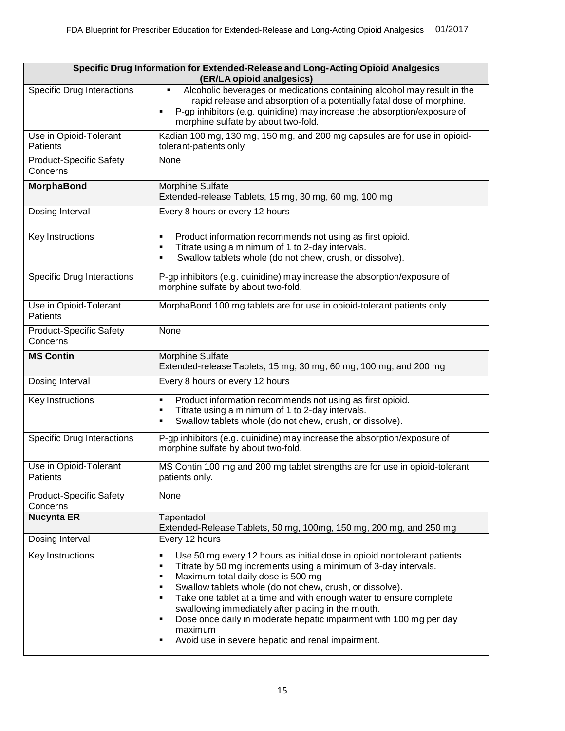| Specific Drug Information for Extended-Release and Long-Acting Opioid Analgesics<br>(ER/LA opioid analgesics) |                                                                                                                                                                                                                                                                                                                                                                                                                                                                                                                                                                |  |
|---------------------------------------------------------------------------------------------------------------|----------------------------------------------------------------------------------------------------------------------------------------------------------------------------------------------------------------------------------------------------------------------------------------------------------------------------------------------------------------------------------------------------------------------------------------------------------------------------------------------------------------------------------------------------------------|--|
| <b>Specific Drug Interactions</b>                                                                             | Alcoholic beverages or medications containing alcohol may result in the<br>Ξ<br>rapid release and absorption of a potentially fatal dose of morphine.<br>P-gp inhibitors (e.g. quinidine) may increase the absorption/exposure of<br>٠<br>morphine sulfate by about two-fold.                                                                                                                                                                                                                                                                                  |  |
| Use in Opioid-Tolerant<br><b>Patients</b>                                                                     | Kadian 100 mg, 130 mg, 150 mg, and 200 mg capsules are for use in opioid-<br>tolerant-patients only                                                                                                                                                                                                                                                                                                                                                                                                                                                            |  |
| <b>Product-Specific Safety</b><br>Concerns                                                                    | None                                                                                                                                                                                                                                                                                                                                                                                                                                                                                                                                                           |  |
| <b>MorphaBond</b>                                                                                             | Morphine Sulfate<br>Extended-release Tablets, 15 mg, 30 mg, 60 mg, 100 mg                                                                                                                                                                                                                                                                                                                                                                                                                                                                                      |  |
| Dosing Interval                                                                                               | Every 8 hours or every 12 hours                                                                                                                                                                                                                                                                                                                                                                                                                                                                                                                                |  |
| Key Instructions                                                                                              | Product information recommends not using as first opioid.<br>٠<br>Titrate using a minimum of 1 to 2-day intervals.<br>٠<br>Swallow tablets whole (do not chew, crush, or dissolve).<br>٠                                                                                                                                                                                                                                                                                                                                                                       |  |
| <b>Specific Drug Interactions</b>                                                                             | P-gp inhibitors (e.g. quinidine) may increase the absorption/exposure of<br>morphine sulfate by about two-fold.                                                                                                                                                                                                                                                                                                                                                                                                                                                |  |
| Use in Opioid-Tolerant<br>Patients                                                                            | MorphaBond 100 mg tablets are for use in opioid-tolerant patients only.                                                                                                                                                                                                                                                                                                                                                                                                                                                                                        |  |
| <b>Product-Specific Safety</b><br>Concerns                                                                    | None                                                                                                                                                                                                                                                                                                                                                                                                                                                                                                                                                           |  |
| <b>MS Contin</b>                                                                                              | Morphine Sulfate<br>Extended-release Tablets, 15 mg, 30 mg, 60 mg, 100 mg, and 200 mg                                                                                                                                                                                                                                                                                                                                                                                                                                                                          |  |
| Dosing Interval                                                                                               | Every 8 hours or every 12 hours                                                                                                                                                                                                                                                                                                                                                                                                                                                                                                                                |  |
| Key Instructions                                                                                              | Product information recommends not using as first opioid.<br>٠<br>Titrate using a minimum of 1 to 2-day intervals.<br>٠<br>Swallow tablets whole (do not chew, crush, or dissolve).<br>٠                                                                                                                                                                                                                                                                                                                                                                       |  |
| <b>Specific Drug Interactions</b>                                                                             | P-gp inhibitors (e.g. quinidine) may increase the absorption/exposure of<br>morphine sulfate by about two-fold.                                                                                                                                                                                                                                                                                                                                                                                                                                                |  |
| Use in Opioid-Tolerant<br>Patients                                                                            | MS Contin 100 mg and 200 mg tablet strengths are for use in opioid-tolerant<br>patients only.                                                                                                                                                                                                                                                                                                                                                                                                                                                                  |  |
| <b>Product-Specific Safety</b><br>Concerns                                                                    | None                                                                                                                                                                                                                                                                                                                                                                                                                                                                                                                                                           |  |
| <b>Nucynta ER</b>                                                                                             | Tapentadol<br>Extended-Release Tablets, 50 mg, 100mg, 150 mg, 200 mg, and 250 mg                                                                                                                                                                                                                                                                                                                                                                                                                                                                               |  |
| Dosing Interval                                                                                               | Every 12 hours                                                                                                                                                                                                                                                                                                                                                                                                                                                                                                                                                 |  |
| Key Instructions                                                                                              | Use 50 mg every 12 hours as initial dose in opioid nontolerant patients<br>$\blacksquare$<br>Titrate by 50 mg increments using a minimum of 3-day intervals.<br>٠<br>Maximum total daily dose is 500 mg<br>٠<br>Swallow tablets whole (do not chew, crush, or dissolve).<br>٠<br>Take one tablet at a time and with enough water to ensure complete<br>٠<br>swallowing immediately after placing in the mouth.<br>Dose once daily in moderate hepatic impairment with 100 mg per day<br>٠<br>maximum<br>Avoid use in severe hepatic and renal impairment.<br>٠ |  |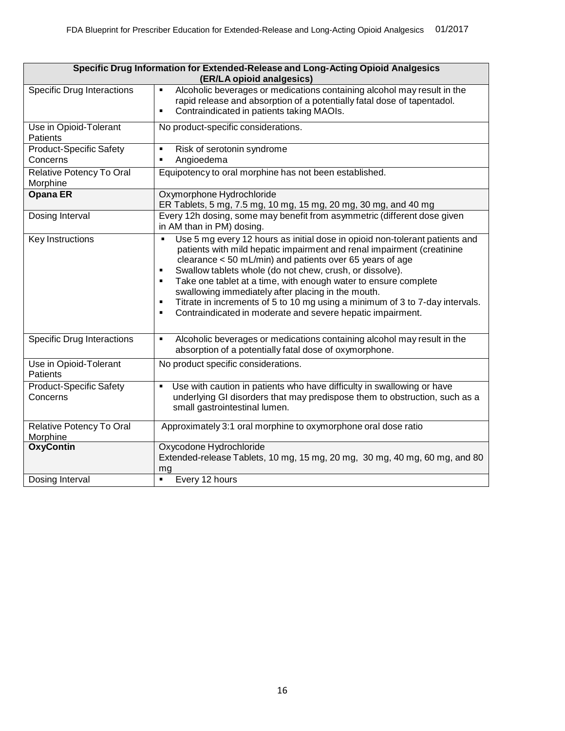| Specific Drug Information for Extended-Release and Long-Acting Opioid Analgesics<br>(ER/LA opioid analgesics) |                                                                                                                                                                                                                                                                                                                                                                                                                                                                                                                                                                                                         |
|---------------------------------------------------------------------------------------------------------------|---------------------------------------------------------------------------------------------------------------------------------------------------------------------------------------------------------------------------------------------------------------------------------------------------------------------------------------------------------------------------------------------------------------------------------------------------------------------------------------------------------------------------------------------------------------------------------------------------------|
| <b>Specific Drug Interactions</b>                                                                             | Alcoholic beverages or medications containing alcohol may result in the<br>$\blacksquare$<br>rapid release and absorption of a potentially fatal dose of tapentadol.<br>Contraindicated in patients taking MAOIs.<br>٠                                                                                                                                                                                                                                                                                                                                                                                  |
| Use in Opioid-Tolerant<br>Patients                                                                            | No product-specific considerations.                                                                                                                                                                                                                                                                                                                                                                                                                                                                                                                                                                     |
| <b>Product-Specific Safety</b><br>Concerns                                                                    | Risk of serotonin syndrome<br>٠<br>Angioedema<br>$\blacksquare$                                                                                                                                                                                                                                                                                                                                                                                                                                                                                                                                         |
| Relative Potency To Oral<br>Morphine                                                                          | Equipotency to oral morphine has not been established.                                                                                                                                                                                                                                                                                                                                                                                                                                                                                                                                                  |
| <b>Opana ER</b>                                                                                               | Oxymorphone Hydrochloride<br>ER Tablets, 5 mg, 7.5 mg, 10 mg, 15 mg, 20 mg, 30 mg, and 40 mg                                                                                                                                                                                                                                                                                                                                                                                                                                                                                                            |
| Dosing Interval                                                                                               | Every 12h dosing, some may benefit from asymmetric (different dose given<br>in AM than in PM) dosing.                                                                                                                                                                                                                                                                                                                                                                                                                                                                                                   |
| Key Instructions                                                                                              | Use 5 mg every 12 hours as initial dose in opioid non-tolerant patients and<br>$\blacksquare$<br>patients with mild hepatic impairment and renal impairment (creatinine<br>clearance < 50 mL/min) and patients over 65 years of age<br>Swallow tablets whole (do not chew, crush, or dissolve).<br>٠<br>Take one tablet at a time, with enough water to ensure complete<br>٠<br>swallowing immediately after placing in the mouth.<br>Titrate in increments of 5 to 10 mg using a minimum of 3 to 7-day intervals.<br>$\blacksquare$<br>Contraindicated in moderate and severe hepatic impairment.<br>٠ |
| <b>Specific Drug Interactions</b>                                                                             | Alcoholic beverages or medications containing alcohol may result in the<br>٠<br>absorption of a potentially fatal dose of oxymorphone.                                                                                                                                                                                                                                                                                                                                                                                                                                                                  |
| Use in Opioid-Tolerant<br>Patients                                                                            | No product specific considerations.                                                                                                                                                                                                                                                                                                                                                                                                                                                                                                                                                                     |
| <b>Product-Specific Safety</b><br>Concerns                                                                    | Use with caution in patients who have difficulty in swallowing or have<br>$\blacksquare$<br>underlying GI disorders that may predispose them to obstruction, such as a<br>small gastrointestinal lumen.                                                                                                                                                                                                                                                                                                                                                                                                 |
| Relative Potency To Oral<br>Morphine                                                                          | Approximately 3:1 oral morphine to oxymorphone oral dose ratio                                                                                                                                                                                                                                                                                                                                                                                                                                                                                                                                          |
| <b>OxyContin</b>                                                                                              | Oxycodone Hydrochloride<br>Extended-release Tablets, 10 mg, 15 mg, 20 mg, 30 mg, 40 mg, 60 mg, and 80<br>mg                                                                                                                                                                                                                                                                                                                                                                                                                                                                                             |
| Dosing Interval                                                                                               | Every 12 hours<br>$\blacksquare$                                                                                                                                                                                                                                                                                                                                                                                                                                                                                                                                                                        |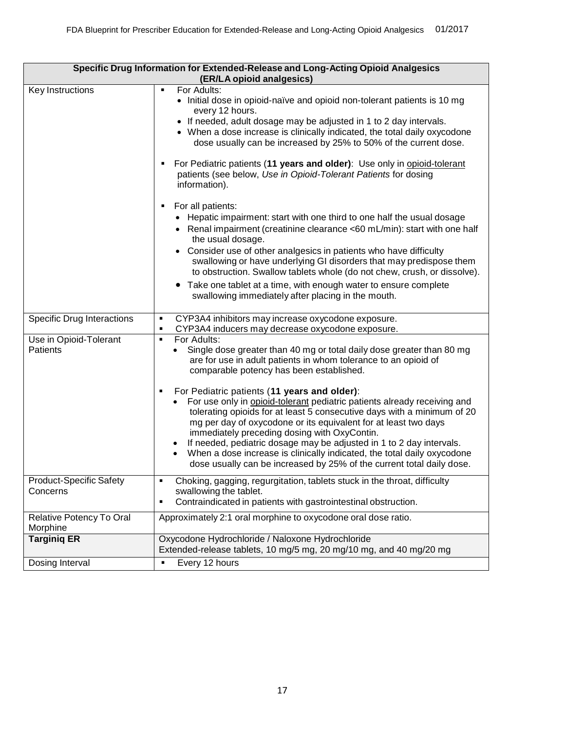| Specific Drug Information for Extended-Release and Long-Acting Opioid Analgesics<br>(ER/LA opioid analgesics) |                                                                                                                                                                                                                                                                                                                                                                                                                                                                                                                                                         |
|---------------------------------------------------------------------------------------------------------------|---------------------------------------------------------------------------------------------------------------------------------------------------------------------------------------------------------------------------------------------------------------------------------------------------------------------------------------------------------------------------------------------------------------------------------------------------------------------------------------------------------------------------------------------------------|
| Key Instructions                                                                                              | For Adults:<br>$\blacksquare$<br>• Initial dose in opioid-naïve and opioid non-tolerant patients is 10 mg<br>every 12 hours.<br>• If needed, adult dosage may be adjusted in 1 to 2 day intervals.                                                                                                                                                                                                                                                                                                                                                      |
|                                                                                                               | • When a dose increase is clinically indicated, the total daily oxycodone<br>dose usually can be increased by 25% to 50% of the current dose.                                                                                                                                                                                                                                                                                                                                                                                                           |
|                                                                                                               | For Pediatric patients (11 years and older): Use only in opioid-tolerant<br>п<br>patients (see below, Use in Opioid-Tolerant Patients for dosing<br>information).                                                                                                                                                                                                                                                                                                                                                                                       |
|                                                                                                               | For all patients:<br>п                                                                                                                                                                                                                                                                                                                                                                                                                                                                                                                                  |
|                                                                                                               | • Hepatic impairment: start with one third to one half the usual dosage<br>• Renal impairment (creatinine clearance <60 mL/min): start with one half<br>the usual dosage.                                                                                                                                                                                                                                                                                                                                                                               |
|                                                                                                               | • Consider use of other analgesics in patients who have difficulty<br>swallowing or have underlying GI disorders that may predispose them<br>to obstruction. Swallow tablets whole (do not chew, crush, or dissolve).                                                                                                                                                                                                                                                                                                                                   |
|                                                                                                               | • Take one tablet at a time, with enough water to ensure complete<br>swallowing immediately after placing in the mouth.                                                                                                                                                                                                                                                                                                                                                                                                                                 |
| <b>Specific Drug Interactions</b>                                                                             | CYP3A4 inhibitors may increase oxycodone exposure.<br>٠<br>CYP3A4 inducers may decrease oxycodone exposure.<br>$\blacksquare$                                                                                                                                                                                                                                                                                                                                                                                                                           |
| Use in Opioid-Tolerant<br><b>Patients</b>                                                                     | For Adults:<br>$\blacksquare$<br>Single dose greater than 40 mg or total daily dose greater than 80 mg<br>are for use in adult patients in whom tolerance to an opioid of<br>comparable potency has been established.                                                                                                                                                                                                                                                                                                                                   |
|                                                                                                               | For Pediatric patients (11 years and older):<br>٠<br>For use only in opioid-tolerant pediatric patients already receiving and<br>tolerating opioids for at least 5 consecutive days with a minimum of 20<br>mg per day of oxycodone or its equivalent for at least two days<br>immediately preceding dosing with OxyContin.<br>If needed, pediatric dosage may be adjusted in 1 to 2 day intervals.<br>When a dose increase is clinically indicated, the total daily oxycodone<br>dose usually can be increased by 25% of the current total daily dose. |
| <b>Product-Specific Safety</b><br>Concerns                                                                    | Choking, gagging, regurgitation, tablets stuck in the throat, difficulty<br>٠<br>swallowing the tablet.                                                                                                                                                                                                                                                                                                                                                                                                                                                 |
|                                                                                                               | Contraindicated in patients with gastrointestinal obstruction.<br>٠                                                                                                                                                                                                                                                                                                                                                                                                                                                                                     |
| Relative Potency To Oral<br>Morphine                                                                          | Approximately 2:1 oral morphine to oxycodone oral dose ratio.                                                                                                                                                                                                                                                                                                                                                                                                                                                                                           |
| <b>Targinig ER</b>                                                                                            | Oxycodone Hydrochloride / Naloxone Hydrochloride                                                                                                                                                                                                                                                                                                                                                                                                                                                                                                        |
|                                                                                                               | Extended-release tablets, 10 mg/5 mg, 20 mg/10 mg, and 40 mg/20 mg                                                                                                                                                                                                                                                                                                                                                                                                                                                                                      |
| Dosing Interval                                                                                               | Every 12 hours<br>$\blacksquare$                                                                                                                                                                                                                                                                                                                                                                                                                                                                                                                        |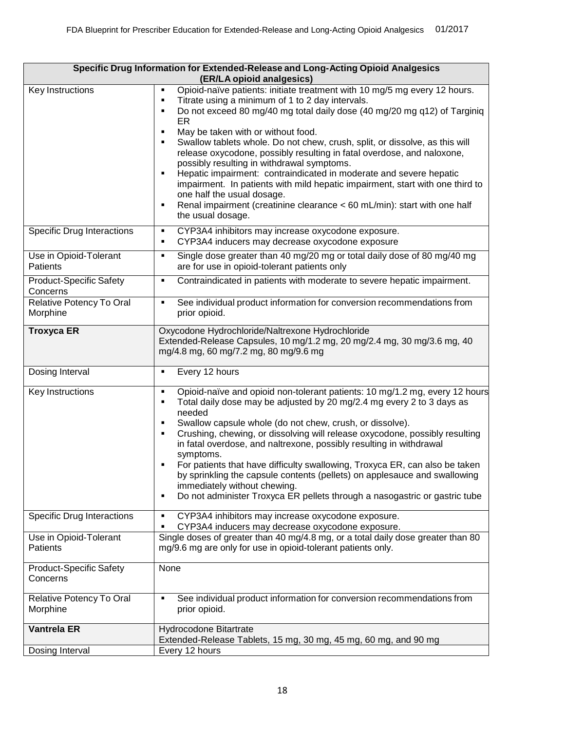| Specific Drug Information for Extended-Release and Long-Acting Opioid Analgesics<br>(ER/LA opioid analgesics) |                                                                                                                                                                                                                                                                                                                                                                                                                                                                                                                                                                                                                                                                                                                                                                                                            |  |
|---------------------------------------------------------------------------------------------------------------|------------------------------------------------------------------------------------------------------------------------------------------------------------------------------------------------------------------------------------------------------------------------------------------------------------------------------------------------------------------------------------------------------------------------------------------------------------------------------------------------------------------------------------------------------------------------------------------------------------------------------------------------------------------------------------------------------------------------------------------------------------------------------------------------------------|--|
| Key Instructions                                                                                              | Opioid-naïve patients: initiate treatment with 10 mg/5 mg every 12 hours.<br>٠<br>Titrate using a minimum of 1 to 2 day intervals.<br>٠<br>Do not exceed 80 mg/40 mg total daily dose (40 mg/20 mg q12) of Targiniq<br>ER<br>May be taken with or without food.<br>٠<br>Swallow tablets whole. Do not chew, crush, split, or dissolve, as this will<br>$\blacksquare$<br>release oxycodone, possibly resulting in fatal overdose, and naloxone,<br>possibly resulting in withdrawal symptoms.<br>Hepatic impairment: contraindicated in moderate and severe hepatic<br>$\blacksquare$<br>impairment. In patients with mild hepatic impairment, start with one third to<br>one half the usual dosage.<br>Renal impairment (creatinine clearance < 60 mL/min): start with one half<br>٠<br>the usual dosage. |  |
| <b>Specific Drug Interactions</b>                                                                             | CYP3A4 inhibitors may increase oxycodone exposure.<br>٠<br>CYP3A4 inducers may decrease oxycodone exposure<br>$\blacksquare$                                                                                                                                                                                                                                                                                                                                                                                                                                                                                                                                                                                                                                                                               |  |
| Use in Opioid-Tolerant<br>Patients                                                                            | Single dose greater than 40 mg/20 mg or total daily dose of 80 mg/40 mg<br>$\blacksquare$<br>are for use in opioid-tolerant patients only                                                                                                                                                                                                                                                                                                                                                                                                                                                                                                                                                                                                                                                                  |  |
| <b>Product-Specific Safety</b><br>Concerns                                                                    | Contraindicated in patients with moderate to severe hepatic impairment.<br>$\blacksquare$                                                                                                                                                                                                                                                                                                                                                                                                                                                                                                                                                                                                                                                                                                                  |  |
| Relative Potency To Oral<br>Morphine                                                                          | See individual product information for conversion recommendations from<br>$\blacksquare$<br>prior opioid.                                                                                                                                                                                                                                                                                                                                                                                                                                                                                                                                                                                                                                                                                                  |  |
| <b>Troxyca ER</b>                                                                                             | Oxycodone Hydrochloride/Naltrexone Hydrochloride<br>Extended-Release Capsules, 10 mg/1.2 mg, 20 mg/2.4 mg, 30 mg/3.6 mg, 40<br>mg/4.8 mg, 60 mg/7.2 mg, 80 mg/9.6 mg                                                                                                                                                                                                                                                                                                                                                                                                                                                                                                                                                                                                                                       |  |
| Dosing Interval                                                                                               | Every 12 hours<br>$\blacksquare$                                                                                                                                                                                                                                                                                                                                                                                                                                                                                                                                                                                                                                                                                                                                                                           |  |
| Key Instructions                                                                                              | Opioid-naïve and opioid non-tolerant patients: 10 mg/1.2 mg, every 12 hours<br>$\blacksquare$<br>Total daily dose may be adjusted by 20 mg/2.4 mg every 2 to 3 days as<br>٠<br>needed<br>Swallow capsule whole (do not chew, crush, or dissolve).<br>$\blacksquare$<br>Crushing, chewing, or dissolving will release oxycodone, possibly resulting<br>$\blacksquare$<br>in fatal overdose, and naltrexone, possibly resulting in withdrawal<br>symptoms.<br>For patients that have difficulty swallowing, Troxyca ER, can also be taken<br>٠<br>by sprinkling the capsule contents (pellets) on applesauce and swallowing<br>immediately without chewing.<br>Do not administer Troxyca ER pellets through a nasogastric or gastric tube<br>$\blacksquare$                                                  |  |
| <b>Specific Drug Interactions</b>                                                                             | CYP3A4 inhibitors may increase oxycodone exposure.<br>$\blacksquare$<br>CYP3A4 inducers may decrease oxycodone exposure.<br>٠                                                                                                                                                                                                                                                                                                                                                                                                                                                                                                                                                                                                                                                                              |  |
| Use in Opioid-Tolerant<br><b>Patients</b>                                                                     | Single doses of greater than 40 mg/4.8 mg, or a total daily dose greater than 80<br>mg/9.6 mg are only for use in opioid-tolerant patients only.                                                                                                                                                                                                                                                                                                                                                                                                                                                                                                                                                                                                                                                           |  |
| <b>Product-Specific Safety</b><br>Concerns                                                                    | None                                                                                                                                                                                                                                                                                                                                                                                                                                                                                                                                                                                                                                                                                                                                                                                                       |  |
| Relative Potency To Oral<br>Morphine                                                                          | See individual product information for conversion recommendations from<br>$\blacksquare$<br>prior opioid.                                                                                                                                                                                                                                                                                                                                                                                                                                                                                                                                                                                                                                                                                                  |  |
| <b>Vantrela ER</b>                                                                                            | Hydrocodone Bitartrate<br>Extended-Release Tablets, 15 mg, 30 mg, 45 mg, 60 mg, and 90 mg                                                                                                                                                                                                                                                                                                                                                                                                                                                                                                                                                                                                                                                                                                                  |  |
| Dosing Interval                                                                                               | Every 12 hours                                                                                                                                                                                                                                                                                                                                                                                                                                                                                                                                                                                                                                                                                                                                                                                             |  |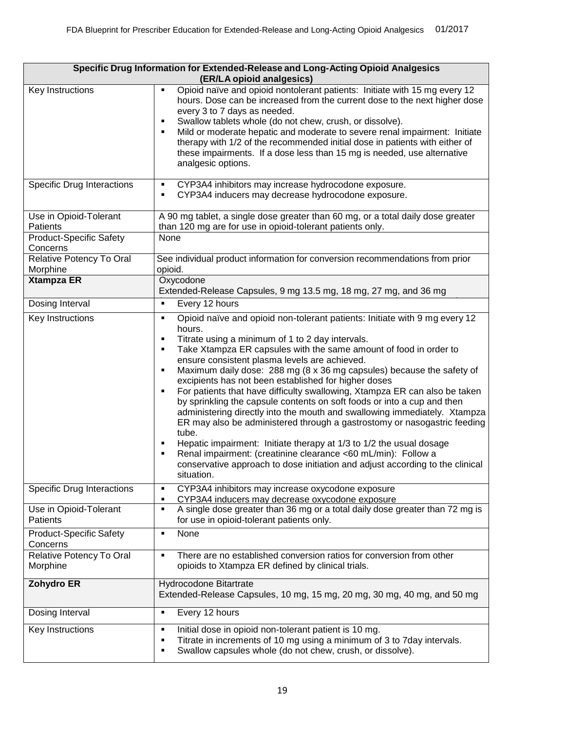| Specific Drug Information for Extended-Release and Long-Acting Opioid Analgesics<br>(ER/LA opioid analgesics) |                                                                                                                                                                                                                                                                                                                                                                                                                                                                                                                                                                                                                                                                                                                                                                                                                                                                                                                                                                                                      |
|---------------------------------------------------------------------------------------------------------------|------------------------------------------------------------------------------------------------------------------------------------------------------------------------------------------------------------------------------------------------------------------------------------------------------------------------------------------------------------------------------------------------------------------------------------------------------------------------------------------------------------------------------------------------------------------------------------------------------------------------------------------------------------------------------------------------------------------------------------------------------------------------------------------------------------------------------------------------------------------------------------------------------------------------------------------------------------------------------------------------------|
| Key Instructions                                                                                              | Opioid naïve and opioid nontolerant patients: Initiate with 15 mg every 12<br>$\blacksquare$<br>hours. Dose can be increased from the current dose to the next higher dose<br>every 3 to 7 days as needed.<br>Swallow tablets whole (do not chew, crush, or dissolve).<br>Е<br>Mild or moderate hepatic and moderate to severe renal impairment: Initiate<br>therapy with 1/2 of the recommended initial dose in patients with either of<br>these impairments. If a dose less than 15 mg is needed, use alternative<br>analgesic options.                                                                                                                                                                                                                                                                                                                                                                                                                                                            |
| <b>Specific Drug Interactions</b>                                                                             | CYP3A4 inhibitors may increase hydrocodone exposure.<br>٠<br>CYP3A4 inducers may decrease hydrocodone exposure.<br>٠                                                                                                                                                                                                                                                                                                                                                                                                                                                                                                                                                                                                                                                                                                                                                                                                                                                                                 |
| Use in Opioid-Tolerant<br>Patients                                                                            | A 90 mg tablet, a single dose greater than 60 mg, or a total daily dose greater<br>than 120 mg are for use in opioid-tolerant patients only.                                                                                                                                                                                                                                                                                                                                                                                                                                                                                                                                                                                                                                                                                                                                                                                                                                                         |
| <b>Product-Specific Safety</b><br>Concerns                                                                    | None                                                                                                                                                                                                                                                                                                                                                                                                                                                                                                                                                                                                                                                                                                                                                                                                                                                                                                                                                                                                 |
| Relative Potency To Oral<br>Morphine                                                                          | See individual product information for conversion recommendations from prior<br>opioid.                                                                                                                                                                                                                                                                                                                                                                                                                                                                                                                                                                                                                                                                                                                                                                                                                                                                                                              |
| <b>Xtampza ER</b>                                                                                             | Oxycodone<br>Extended-Release Capsules, 9 mg 13.5 mg, 18 mg, 27 mg, and 36 mg                                                                                                                                                                                                                                                                                                                                                                                                                                                                                                                                                                                                                                                                                                                                                                                                                                                                                                                        |
| Dosing Interval                                                                                               | $\blacksquare$<br>Every 12 hours                                                                                                                                                                                                                                                                                                                                                                                                                                                                                                                                                                                                                                                                                                                                                                                                                                                                                                                                                                     |
| Key Instructions                                                                                              | Opioid naïve and opioid non-tolerant patients: Initiate with 9 mg every 12<br>٠<br>hours.<br>Titrate using a minimum of 1 to 2 day intervals.<br>Ξ<br>Take Xtampza ER capsules with the same amount of food in order to<br>Ξ<br>ensure consistent plasma levels are achieved.<br>Maximum daily dose: 288 mg (8 x 36 mg capsules) because the safety of<br>٠<br>excipients has not been established for higher doses<br>For patients that have difficulty swallowing, Xtampza ER can also be taken<br>٠<br>by sprinkling the capsule contents on soft foods or into a cup and then<br>administering directly into the mouth and swallowing immediately. Xtampza<br>ER may also be administered through a gastrostomy or nasogastric feeding<br>tube.<br>Hepatic impairment: Initiate therapy at 1/3 to 1/2 the usual dosage<br>٠<br>Renal impairment: (creatinine clearance <60 mL/min): Follow a<br>п<br>conservative approach to dose initiation and adjust according to the clinical<br>situation. |
| <b>Specific Drug Interactions</b>                                                                             | CYP3A4 inhibitors may increase oxycodone exposure<br>$\blacksquare$<br>CYP3A4 inducers may decrease oxycodone exposure<br>٠                                                                                                                                                                                                                                                                                                                                                                                                                                                                                                                                                                                                                                                                                                                                                                                                                                                                          |
| Use in Opioid-Tolerant<br>Patients                                                                            | A single dose greater than 36 mg or a total daily dose greater than 72 mg is<br>$\blacksquare$<br>for use in opioid-tolerant patients only.                                                                                                                                                                                                                                                                                                                                                                                                                                                                                                                                                                                                                                                                                                                                                                                                                                                          |
| <b>Product-Specific Safety</b><br>Concerns                                                                    | None<br>$\blacksquare$                                                                                                                                                                                                                                                                                                                                                                                                                                                                                                                                                                                                                                                                                                                                                                                                                                                                                                                                                                               |
| Relative Potency To Oral<br>Morphine                                                                          | There are no established conversion ratios for conversion from other<br>$\blacksquare$<br>opioids to Xtampza ER defined by clinical trials.                                                                                                                                                                                                                                                                                                                                                                                                                                                                                                                                                                                                                                                                                                                                                                                                                                                          |
| <b>Zohydro ER</b>                                                                                             | Hydrocodone Bitartrate<br>Extended-Release Capsules, 10 mg, 15 mg, 20 mg, 30 mg, 40 mg, and 50 mg                                                                                                                                                                                                                                                                                                                                                                                                                                                                                                                                                                                                                                                                                                                                                                                                                                                                                                    |
| Dosing Interval                                                                                               | Every 12 hours<br>$\blacksquare$                                                                                                                                                                                                                                                                                                                                                                                                                                                                                                                                                                                                                                                                                                                                                                                                                                                                                                                                                                     |
| Key Instructions                                                                                              | Initial dose in opioid non-tolerant patient is 10 mg.<br>П<br>Titrate in increments of 10 mg using a minimum of 3 to 7day intervals.<br>п<br>Swallow capsules whole (do not chew, crush, or dissolve).<br>٠                                                                                                                                                                                                                                                                                                                                                                                                                                                                                                                                                                                                                                                                                                                                                                                          |